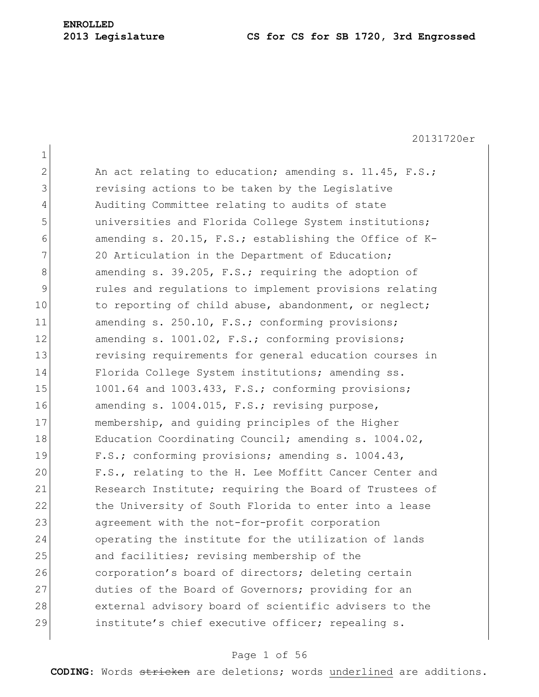1 2 An act relating to education; amending s. 11.45, F.S.; 3 **1** revising actions to be taken by the Legislative 4 Auditing Committee relating to audits of state 5 universities and Florida College System institutions; 6 amending s. 20.15, F.S.; establishing the Office of K-7 20 Articulation in the Department of Education; 8 8 8 8 amending s. 39.205, F.S.; requiring the adoption of 9 rules and regulations to implement provisions relating 10 to reporting of child abuse, abandonment, or neglect; 11 amending s. 250.10, F.S.; conforming provisions; 12 amending s. 1001.02, F.S.; conforming provisions; 13 revising requirements for general education courses in 14 Florida College System institutions; amending ss. 15 1001.64 and 1003.433, F.S.; conforming provisions; 16 amending s. 1004.015, F.S.; revising purpose, 17 membership, and guiding principles of the Higher 18 Education Coordinating Council; amending s. 1004.02, 19 F.S.; conforming provisions; amending s. 1004.43, 20 F.S., relating to the H. Lee Moffitt Cancer Center and 21 Research Institute; requiring the Board of Trustees of 22 the University of South Florida to enter into a lease 23 agreement with the not-for-profit corporation 24 operating the institute for the utilization of lands 25 and facilities; revising membership of the 26 corporation's board of directors; deleting certain 27 duties of the Board of Governors; providing for an 28 external advisory board of scientific advisers to the 29 institute's chief executive officer; repealing s.

#### Page 1 of 56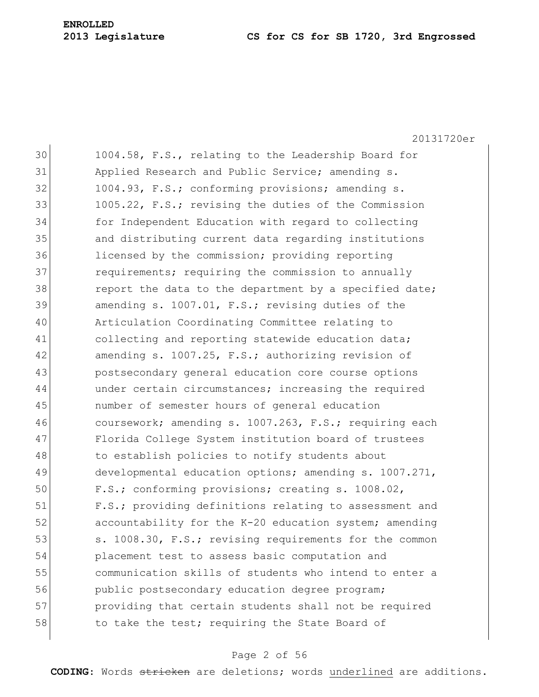20131720er 30 1004.58, F.S., relating to the Leadership Board for 31 Applied Research and Public Service; amending s. 32 1004.93, F.S.; conforming provisions; amending s. 33 1005.22, F.S.; revising the duties of the Commission 34 for Independent Education with regard to collecting 35 and distributing current data regarding institutions 36 licensed by the commission; providing reporting 37 **requirements;** requiring the commission to annually 38 report the data to the department by a specified date; 39 amending s. 1007.01, F.S.; revising duties of the 40 Articulation Coordinating Committee relating to 41 collecting and reporting statewide education data; 42 amending s. 1007.25, F.S.; authorizing revision of 43 postsecondary general education core course options 44 under certain circumstances; increasing the required 45 number of semester hours of general education 46 coursework; amending s. 1007.263, F.S.; requiring each 47 Florida College System institution board of trustees 48 to establish policies to notify students about 49 developmental education options; amending s. 1007.271, 50 F.S.; conforming provisions; creating s. 1008.02, 51 F.S.; providing definitions relating to assessment and 52 accountability for the K-20 education system; amending 53 s. 1008.30, F.S.; revising requirements for the common 54 placement test to assess basic computation and 55 communication skills of students who intend to enter a 56 public postsecondary education degree program; 57 providing that certain students shall not be required 58 to take the test; requiring the State Board of

## Page 2 of 56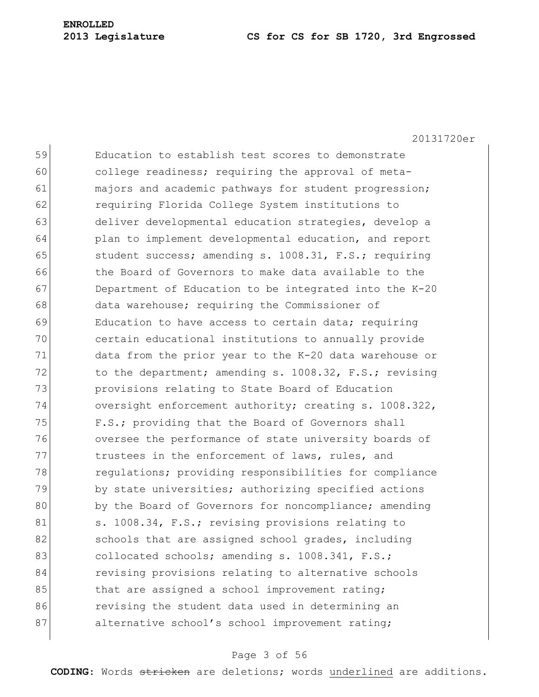20131720er

59 Education to establish test scores to demonstrate 60 college readiness; requiring the approval of meta-61 majors and academic pathways for student progression; 62 requiring Florida College System institutions to 63 deliver developmental education strategies, develop a 64 plan to implement developmental education, and report 65 student success; amending s. 1008.31, F.S.; requiring 66 the Board of Governors to make data available to the 67 Department of Education to be integrated into the K-20 68 data warehouse; requiring the Commissioner of 69 Education to have access to certain data; requiring 70 certain educational institutions to annually provide 71 data from the prior year to the K-20 data warehouse or 72 to the department; amending s. 1008.32, F.S.; revising 73 provisions relating to State Board of Education 74 oversight enforcement authority; creating s. 1008.322, 75 F.S.; providing that the Board of Governors shall 76 oversee the performance of state university boards of 77 trustees in the enforcement of laws, rules, and 78 regulations; providing responsibilities for compliance 79 by state universities; authorizing specified actions 80 by the Board of Governors for noncompliance; amending 81 s. 1008.34, F.S.; revising provisions relating to 82 schools that are assigned school grades, including 83 collocated schools; amending s. 1008.341, F.S.; 84 revising provisions relating to alternative schools 85 that are assigned a school improvement rating; 86 **revising the student data used in determining an** 87 alternative school's school improvement rating;

## Page 3 of 56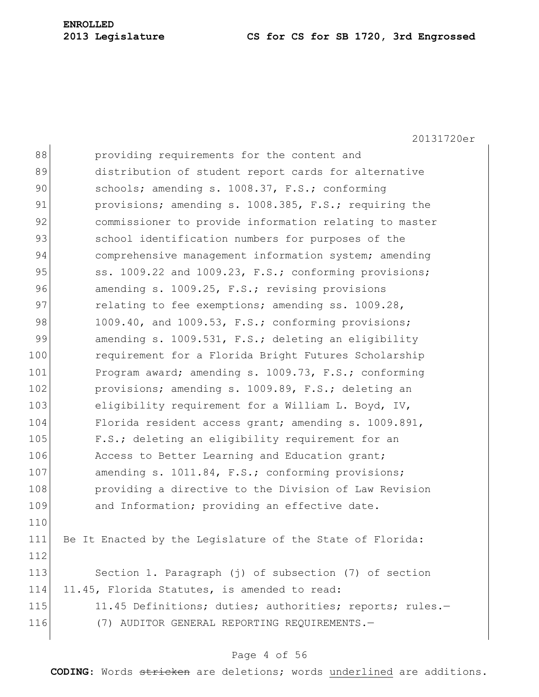20131720er

| 88  | providing requirements for the content and                |
|-----|-----------------------------------------------------------|
| 89  | distribution of student report cards for alternative      |
| 90  | schools; amending s. 1008.37, F.S.; conforming            |
| 91  | provisions; amending s. 1008.385, F.S.; requiring the     |
| 92  | commissioner to provide information relating to master    |
| 93  | school identification numbers for purposes of the         |
| 94  | comprehensive management information system; amending     |
| 95  | ss. 1009.22 and 1009.23, F.S.; conforming provisions;     |
| 96  | amending s. 1009.25, F.S.; revising provisions            |
| 97  | relating to fee exemptions; amending ss. 1009.28,         |
| 98  | 1009.40, and 1009.53, F.S.; conforming provisions;        |
| 99  | amending s. 1009.531, F.S.; deleting an eligibility       |
| 100 | requirement for a Florida Bright Futures Scholarship      |
| 101 | Program award; amending s. 1009.73, F.S.; conforming      |
| 102 | provisions; amending s. 1009.89, F.S.; deleting an        |
| 103 | eligibility requirement for a William L. Boyd, IV,        |
| 104 | Florida resident access grant; amending s. 1009.891,      |
| 105 | F.S.; deleting an eligibility requirement for an          |
| 106 | Access to Better Learning and Education grant;            |
| 107 | amending s. 1011.84, F.S.; conforming provisions;         |
| 108 | providing a directive to the Division of Law Revision     |
| 109 | and Information; providing an effective date.             |
| 110 |                                                           |
| 111 | Be It Enacted by the Legislature of the State of Florida: |
| 112 |                                                           |
| 113 | Section 1. Paragraph (j) of subsection (7) of section     |
| 114 | 11.45, Florida Statutes, is amended to read:              |
| 115 | 11.45 Definitions; duties; authorities; reports; rules.-  |
| 116 | (7) AUDITOR GENERAL REPORTING REQUIREMENTS.-              |
|     |                                                           |

## Page 4 of 56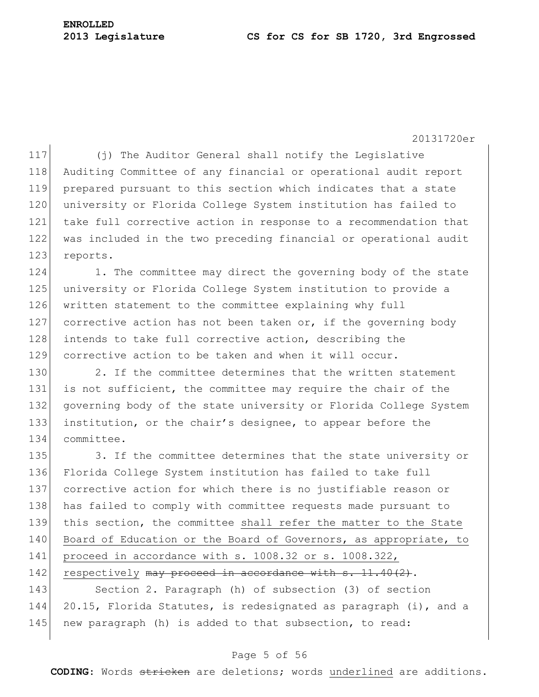117 (j) The Auditor General shall notify the Legislative 118 Auditing Committee of any financial or operational audit report 119 prepared pursuant to this section which indicates that a state 120 university or Florida College System institution has failed to 121 take full corrective action in response to a recommendation that 122 was included in the two preceding financial or operational audit 123 reports.

124 1. The committee may direct the governing body of the state 125 university or Florida College System institution to provide a 126 written statement to the committee explaining why full 127 corrective action has not been taken or, if the governing body 128 intends to take full corrective action, describing the 129 corrective action to be taken and when it will occur.

130 2. If the committee determines that the written statement 131 is not sufficient, the committee may require the chair of the 132 governing body of the state university or Florida College System 133 institution, or the chair's designee, to appear before the 134 committee.

135 3. If the committee determines that the state university or 136 Florida College System institution has failed to take full 137 corrective action for which there is no justifiable reason or 138 has failed to comply with committee requests made pursuant to 139 this section, the committee shall refer the matter to the State 140 Board of Education or the Board of Governors, as appropriate, to 141 proceed in accordance with s. 1008.32 or s. 1008.322, 142 respectively may proceed in accordance with s. 11.40(2).

143 Section 2. Paragraph (h) of subsection (3) of section 144 20.15, Florida Statutes, is redesignated as paragraph (i), and a 145 new paragraph (h) is added to that subsection, to read:

## Page 5 of 56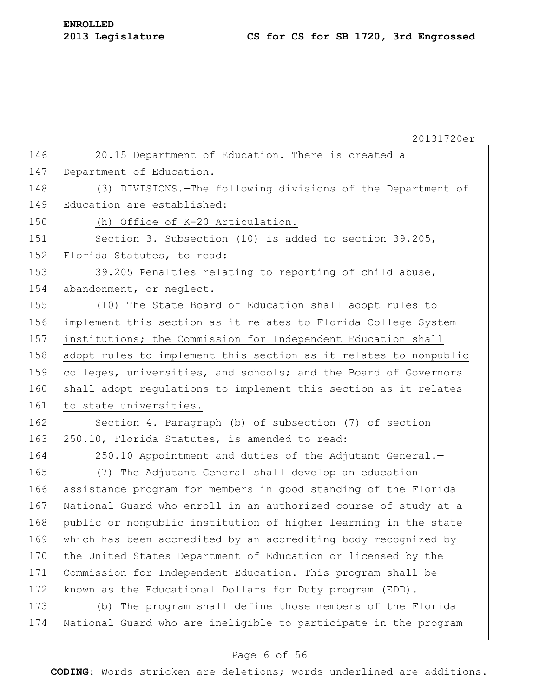| <b>ENROLLED</b> |                  |  |
|-----------------|------------------|--|
|                 | 2013 Legislature |  |

20131720er 146 20.15 Department of Education.—There is created a 147 Department of Education. 148 (3) DIVISIONS.—The following divisions of the Department of 149 Education are established: 150 (h) Office of K-20 Articulation. 151 Section 3. Subsection (10) is added to section 39.205, 152 Florida Statutes, to read: 153 39.205 Penalties relating to reporting of child abuse, 154 abandonment, or neglect.-155 (10) The State Board of Education shall adopt rules to 156 implement this section as it relates to Florida College System 157 institutions; the Commission for Independent Education shall 158 adopt rules to implement this section as it relates to nonpublic 159 colleges, universities, and schools; and the Board of Governors 160 shall adopt regulations to implement this section as it relates 161 to state universities. 162 Section 4. Paragraph (b) of subsection (7) of section 163 250.10, Florida Statutes, is amended to read: 164 250.10 Appointment and duties of the Adjutant General.-165 (7) The Adjutant General shall develop an education 166 assistance program for members in good standing of the Florida 167 National Guard who enroll in an authorized course of study at a 168 public or nonpublic institution of higher learning in the state 169 which has been accredited by an accrediting body recognized by 170 the United States Department of Education or licensed by the 171 Commission for Independent Education. This program shall be 172 known as the Educational Dollars for Duty program (EDD). 173 (b) The program shall define those members of the Florida 174 National Guard who are ineligible to participate in the program

## Page 6 of 56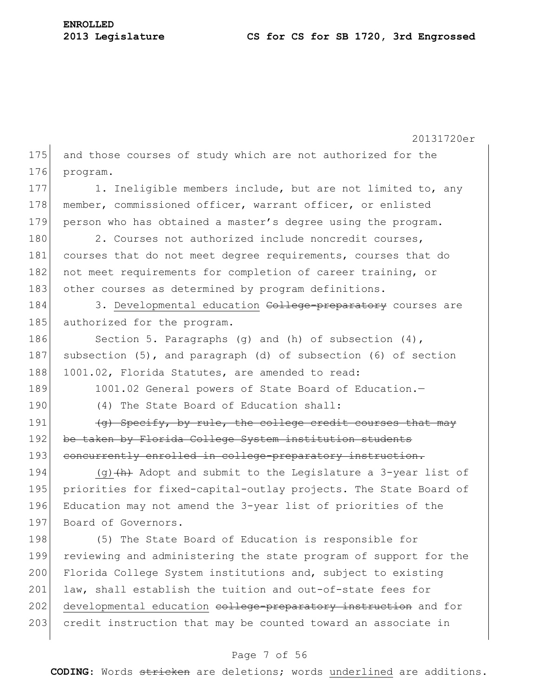|     | 20131720er                                                            |
|-----|-----------------------------------------------------------------------|
| 175 | and those courses of study which are not authorized for the           |
| 176 | program.                                                              |
| 177 | 1. Ineligible members include, but are not limited to, any            |
| 178 | member, commissioned officer, warrant officer, or enlisted            |
| 179 | person who has obtained a master's degree using the program.          |
| 180 | 2. Courses not authorized include noncredit courses,                  |
| 181 | courses that do not meet degree requirements, courses that do         |
| 182 | not meet requirements for completion of career training, or           |
| 183 | other courses as determined by program definitions.                   |
| 184 | 3. Developmental education College-preparatory courses are            |
| 185 | authorized for the program.                                           |
| 186 | Section 5. Paragraphs (g) and (h) of subsection $(4)$ ,               |
| 187 | subsection $(5)$ , and paragraph $(d)$ of subsection $(6)$ of section |
| 188 | 1001.02, Florida Statutes, are amended to read:                       |
| 189 | 1001.02 General powers of State Board of Education.-                  |
| 190 | (4) The State Board of Education shall:                               |
| 191 | (g) Specify, by rule, the college credit courses that may             |
| 192 | be taken by Florida College System institution students               |
| 193 | concurrently enrolled in college-preparatory instruction.             |
| 194 | (g) $(h)$ Adopt and submit to the Legislature a 3-year list of        |
| 195 | priorities for fixed-capital-outlay projects. The State Board of      |
| 196 | Education may not amend the 3-year list of priorities of the          |
| 197 | Board of Governors.                                                   |
| 198 | (5) The State Board of Education is responsible for                   |
| 199 | reviewing and administering the state program of support for the      |
| 200 | Florida College System institutions and, subject to existing          |
| 201 | law, shall establish the tuition and out-of-state fees for            |
| 202 | developmental education college-preparatory instruction and for       |
| 203 | credit instruction that may be counted toward an associate in         |
|     |                                                                       |

## Page 7 of 56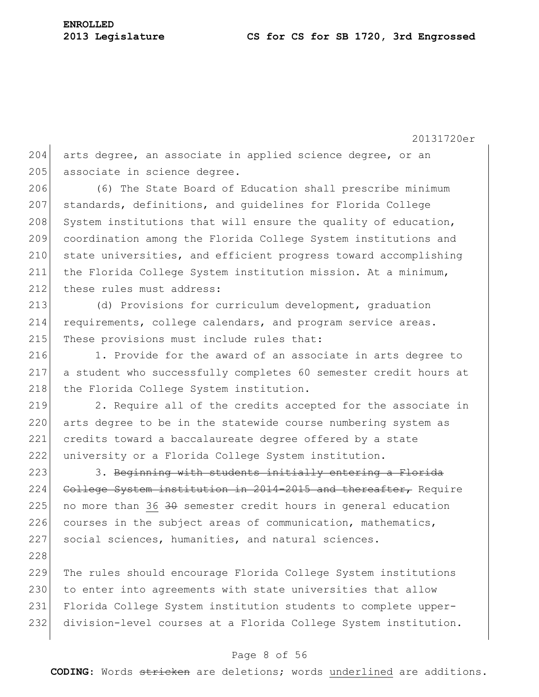228

20131720er

204 arts degree, an associate in applied science degree, or an 205 associate in science degree.

206 (6) The State Board of Education shall prescribe minimum 207 standards, definitions, and quidelines for Florida College 208 System institutions that will ensure the quality of education, 209 coordination among the Florida College System institutions and 210 state universities, and efficient progress toward accomplishing 211 the Florida College System institution mission. At a minimum, 212 these rules must address:

213 (d) Provisions for curriculum development, graduation 214 requirements, college calendars, and program service areas. 215 These provisions must include rules that:

216 1. Provide for the award of an associate in arts degree to 217 a student who successfully completes 60 semester credit hours at 218 the Florida College System institution.

 2. Require all of the credits accepted for the associate in arts degree to be in the statewide course numbering system as 221 credits toward a baccalaureate degree offered by a state university or a Florida College System institution.

223 3. Beginning with students initially entering a Florida 224 College System institution in 2014-2015 and thereafter, Require 225 no more than 36  $30$  semester credit hours in general education 226 courses in the subject areas of communication, mathematics, 227 social sciences, humanities, and natural sciences.

 The rules should encourage Florida College System institutions 230 to enter into agreements with state universities that allow Florida College System institution students to complete upper-division-level courses at a Florida College System institution.

## Page 8 of 56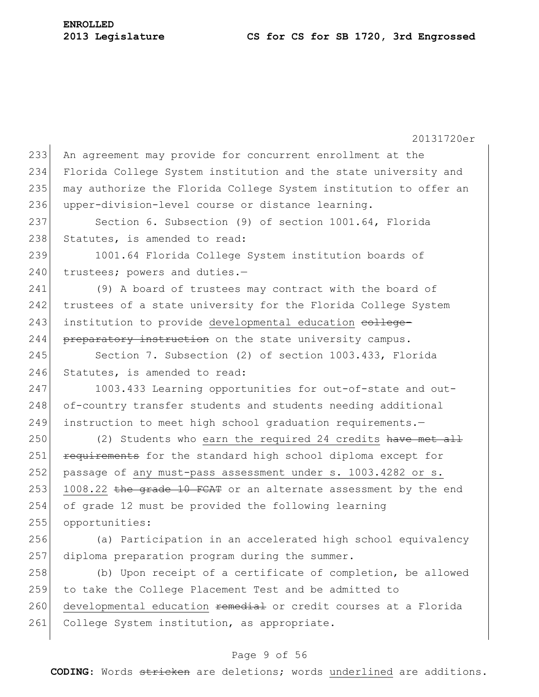20131720er 233 An agreement may provide for concurrent enrollment at the 234 Florida College System institution and the state university and 235 may authorize the Florida College System institution to offer an 236 upper-division-level course or distance learning. 237 Section 6. Subsection (9) of section 1001.64, Florida 238 Statutes, is amended to read: 239 1001.64 Florida College System institution boards of  $240$  trustees; powers and duties.-241 (9) A board of trustees may contract with the board of 242 trustees of a state university for the Florida College System 243 institution to provide developmental education college-244 preparatory instruction on the state university campus. 245 Section 7. Subsection (2) of section 1003.433, Florida 246 Statutes, is amended to read: 247 1003.433 Learning opportunities for out-of-state and out-248 of-country transfer students and students needing additional 249 instruction to meet high school graduation requirements.-250 (2) Students who earn the required 24 credits have met all 251 requirements for the standard high school diploma except for 252 passage of any must-pass assessment under s. 1003.4282 or s. 253 1008.22 the grade 10 FCAT or an alternate assessment by the end 254 of grade 12 must be provided the following learning 255 opportunities: 256 (a) Participation in an accelerated high school equivalency 257 diploma preparation program during the summer. 258 (b) Upon receipt of a certificate of completion, be allowed 259 to take the College Placement Test and be admitted to 260 developmental education remedial or credit courses at a Florida 261 College System institution, as appropriate.

### Page 9 of 56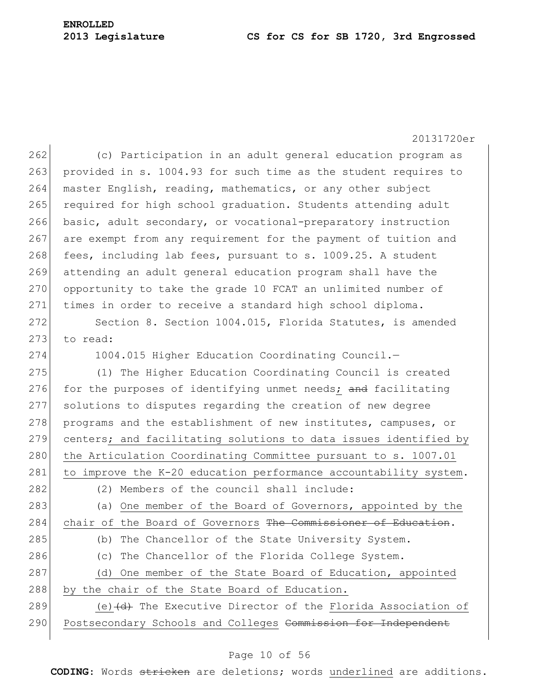20131720er 262 (c) Participation in an adult general education program as 263 provided in s. 1004.93 for such time as the student requires to 264 master English, reading, mathematics, or any other subject 265 required for high school graduation. Students attending adult 266 basic, adult secondary, or vocational-preparatory instruction 267 are exempt from any requirement for the payment of tuition and  $268$  fees, including lab fees, pursuant to s. 1009.25. A student 269 attending an adult general education program shall have the 270 opportunity to take the grade 10 FCAT an unlimited number of 271 times in order to receive a standard high school diploma. 272 Section 8. Section 1004.015, Florida Statutes, is amended  $273$  to read: 274 1004.015 Higher Education Coordinating Council. 275 (1) The Higher Education Coordinating Council is created 276 for the purposes of identifying unmet needs; and facilitating 277 solutions to disputes regarding the creation of new degree 278 programs and the establishment of new institutes, campuses, or 279 centers; and facilitating solutions to data issues identified by 280 the Articulation Coordinating Committee pursuant to s. 1007.01 281 to improve the K-20 education performance accountability system. 282 (2) Members of the council shall include: 283 (a) One member of the Board of Governors, appointed by the 284 chair of the Board of Governors The Commissioner of Education. 285 (b) The Chancellor of the State University System. 286 (c) The Chancellor of the Florida College System. 287 (d) One member of the State Board of Education, appointed 288 by the chair of the State Board of Education. 289  $\vert$  (e)  $\vert$   $\vert$  The Executive Director of the Florida Association of 290 Postsecondary Schools and Colleges Commission for Independent

## Page 10 of 56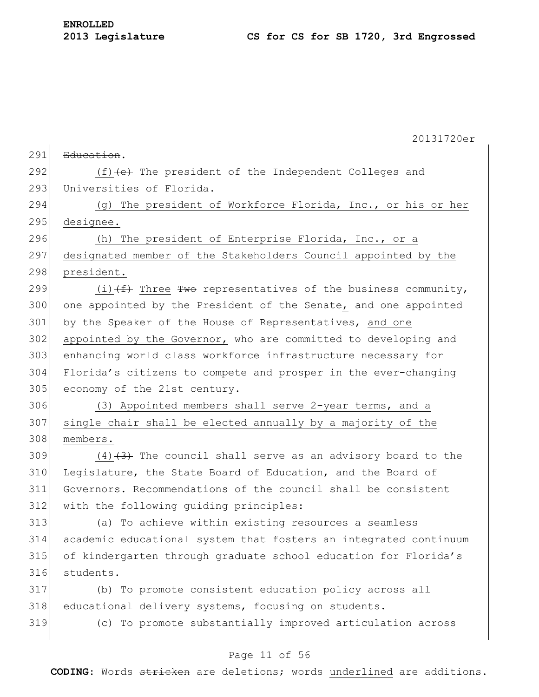|     | 20131720er                                                       |
|-----|------------------------------------------------------------------|
| 291 | Education.                                                       |
| 292 | $(f)$ (f) $(e)$ The president of the Independent Colleges and    |
| 293 | Universities of Florida.                                         |
| 294 | (g) The president of Workforce Florida, Inc., or his or her      |
| 295 | designee.                                                        |
| 296 | (h) The president of Enterprise Florida, Inc., or a              |
| 297 | designated member of the Stakeholders Council appointed by the   |
| 298 | president.                                                       |
| 299 | (i) $(f)$ Three Two representatives of the business community,   |
| 300 | one appointed by the President of the Senate, and one appointed  |
| 301 | by the Speaker of the House of Representatives, and one          |
| 302 | appointed by the Governor, who are committed to developing and   |
| 303 | enhancing world class workforce infrastructure necessary for     |
| 304 | Florida's citizens to compete and prosper in the ever-changing   |
| 305 | economy of the 21st century.                                     |
| 306 | (3) Appointed members shall serve 2-year terms, and a            |
| 307 | single chair shall be elected annually by a majority of the      |
| 308 | members.                                                         |
| 309 | $(4)$ $(3)$ The council shall serve as an advisory board to the  |
| 310 | Legislature, the State Board of Education, and the Board of      |
| 311 | Governors. Recommendations of the council shall be consistent    |
| 312 | with the following quiding principles:                           |
| 313 | (a) To achieve within existing resources a seamless              |
| 314 | academic educational system that fosters an integrated continuum |
| 315 | of kindergarten through graduate school education for Florida's  |
| 316 | students.                                                        |
| 317 | (b) To promote consistent education policy across all            |
| 318 | educational delivery systems, focusing on students.              |
| 319 | (c) To promote substantially improved articulation across        |
|     |                                                                  |

## Page 11 of 56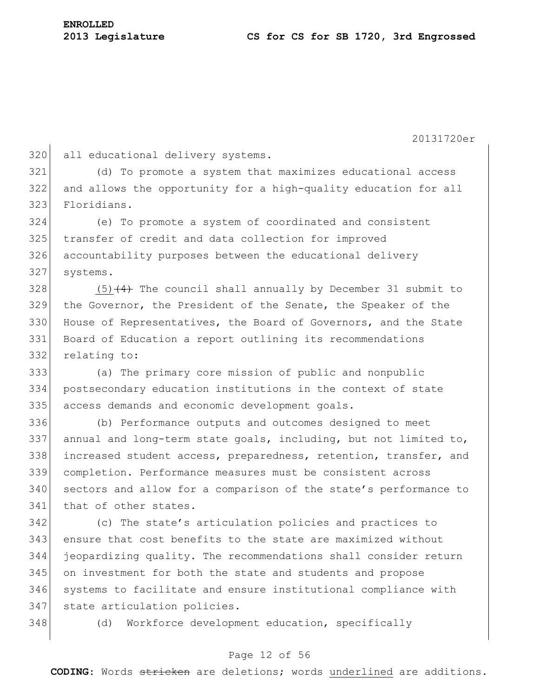320 all educational delivery systems.

 (d) To promote a system that maximizes educational access and allows the opportunity for a high-quality education for all Floridians.

 (e) To promote a system of coordinated and consistent transfer of credit and data collection for improved accountability purposes between the educational delivery 327 systems.

 (5)  $\left(4\right)$  The council shall annually by December 31 submit to the Governor, the President of the Senate, the Speaker of the 330 House of Representatives, the Board of Governors, and the State Board of Education a report outlining its recommendations relating to:

 (a) The primary core mission of public and nonpublic postsecondary education institutions in the context of state 335 access demands and economic development goals.

 (b) Performance outputs and outcomes designed to meet annual and long-term state goals, including, but not limited to, increased student access, preparedness, retention, transfer, and completion. Performance measures must be consistent across 340 sectors and allow for a comparison of the state's performance to that of other states.

 (c) The state's articulation policies and practices to ensure that cost benefits to the state are maximized without jeopardizing quality. The recommendations shall consider return on investment for both the state and students and propose systems to facilitate and ensure institutional compliance with 347 state articulation policies.

(d) Workforce development education, specifically

## Page 12 of 56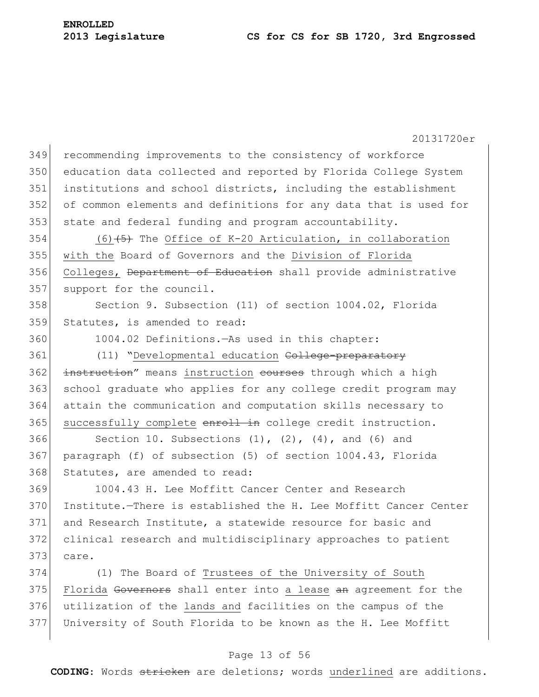20131720er 349 recommending improvements to the consistency of workforce 350 education data collected and reported by Florida College System 351 institutions and school districts, including the establishment 352 of common elements and definitions for any data that is used for 353 state and federal funding and program accountability. 354 (6)  $(5)$  The Office of K-20 Articulation, in collaboration 355 with the Board of Governors and the Division of Florida 356 Colleges, Department of Education shall provide administrative 357 support for the council. 358 Section 9. Subsection (11) of section 1004.02, Florida 359 Statutes, is amended to read: 360 1004.02 Definitions.—As used in this chapter: 361 (11) "Developmental education College-preparatory 362 instruction" means instruction courses through which a high 363 school graduate who applies for any college credit program may 364 attain the communication and computation skills necessary to 365 successfully complete enroll in college credit instruction. 366 Section 10. Subsections  $(1)$ ,  $(2)$ ,  $(4)$ , and  $(6)$  and 367 paragraph (f) of subsection (5) of section 1004.43, Florida 368 Statutes, are amended to read: 369 1004.43 H. Lee Moffitt Cancer Center and Research 370 Institute.—There is established the H. Lee Moffitt Cancer Center 371 and Research Institute, a statewide resource for basic and

372 clinical research and multidisciplinary approaches to patient  $373$  care.

 (1) The Board of Trustees of the University of South 375 Florida Governors shall enter into a lease an agreement for the utilization of the lands and facilities on the campus of the University of South Florida to be known as the H. Lee Moffitt

## Page 13 of 56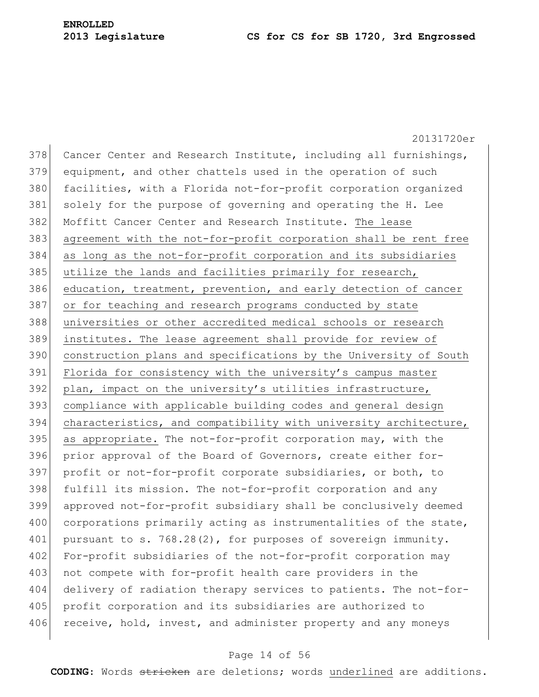20131720er 378 Cancer Center and Research Institute, including all furnishings, 379 equipment, and other chattels used in the operation of such 380 facilities, with a Florida not-for-profit corporation organized 381 solely for the purpose of governing and operating the H. Lee 382 Moffitt Cancer Center and Research Institute. The lease 383 agreement with the not-for-profit corporation shall be rent free 384 as long as the not-for-profit corporation and its subsidiaries 385 utilize the lands and facilities primarily for research, 386 education, treatment, prevention, and early detection of cancer 387 or for teaching and research programs conducted by state 388 universities or other accredited medical schools or research 389 institutes. The lease agreement shall provide for review of 390 construction plans and specifications by the University of South 391 Florida for consistency with the university's campus master 392 plan, impact on the university's utilities infrastructure, 393 compliance with applicable building codes and general design 394 characteristics, and compatibility with university architecture,  $395$  as appropriate. The not-for-profit corporation may, with the 396 prior approval of the Board of Governors, create either for-397 profit or not-for-profit corporate subsidiaries, or both, to 398 fulfill its mission. The not-for-profit corporation and any 399 approved not-for-profit subsidiary shall be conclusively deemed 400 corporations primarily acting as instrumentalities of the state, 401 pursuant to s. 768.28(2), for purposes of sovereign immunity. 402 For-profit subsidiaries of the not-for-profit corporation may 403 not compete with for-profit health care providers in the 404 delivery of radiation therapy services to patients. The not-for-405 profit corporation and its subsidiaries are authorized to 406 receive, hold, invest, and administer property and any moneys

#### Page 14 of 56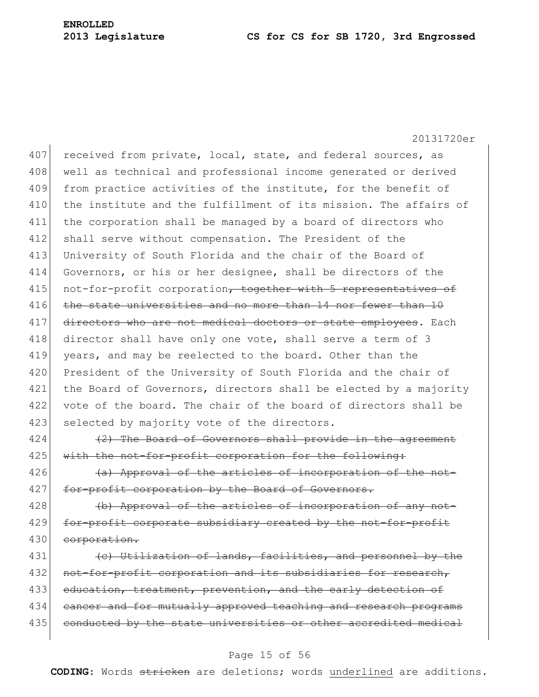20131720er 407 received from private, local, state, and federal sources, as 408 well as technical and professional income generated or derived 409 from practice activities of the institute, for the benefit of 410 the institute and the fulfillment of its mission. The affairs of 411 the corporation shall be managed by a board of directors who 412 shall serve without compensation. The President of the 413 University of South Florida and the chair of the Board of 414 Governors, or his or her designee, shall be directors of the 415 not-for-profit corporation, together with 5 representatives of 416 the state universities and no more than 14 nor fewer than 10 417 directors who are not medical doctors or state employees. Each 418 director shall have only one vote, shall serve a term of 3 419 years, and may be reelected to the board. Other than the 420 President of the University of South Florida and the chair of 421 the Board of Governors, directors shall be elected by a majority 422 vote of the board. The chair of the board of directors shall be 423 selected by majority vote of the directors.

 $424$  (2) The Board of Governors shall provide in the agreement 425 with the not-for-profit corporation for the following:

 $|426|$  (a) Approval of the articles of incorporation of the not-427 for-profit corporation by the Board of Governors.

428 (b) Approval of the articles of incorporation of any not-429 for-profit corporate subsidiary created by the not-for-profit 430 corporation.

 $431$  (c) Utilization of lands, facilities, and personnel by the 432 not-for-profit corporation and its subsidiaries for research, 433 education, treatment, prevention, and the early detection of 434 cancer and for mutually approved teaching and research programs 435 conducted by the state universities or other accredited medical

## Page 15 of 56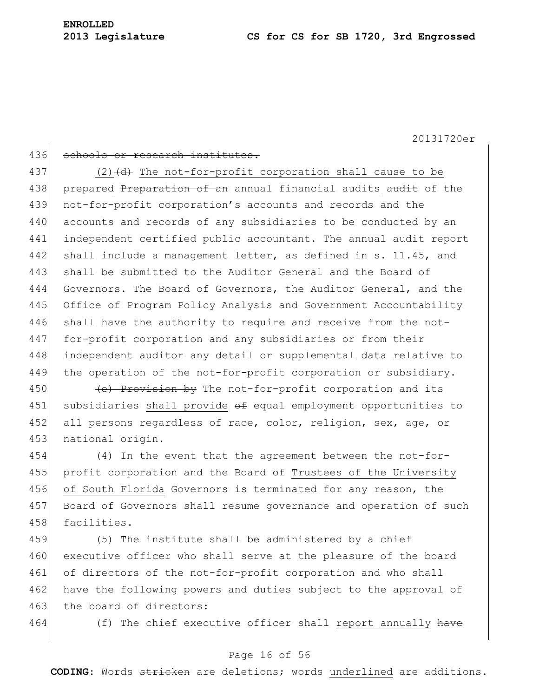## 436 schools or research institutes.

437 (2)  $\left(\frac{d}{d}\right)$  The not-for-profit corporation shall cause to be 438 prepared Preparation of an annual financial audits audit of the 439 not-for-profit corporation's accounts and records and the 440 accounts and records of any subsidiaries to be conducted by an 441 independent certified public accountant. The annual audit report 442 shall include a management letter, as defined in s. 11.45, and 443 shall be submitted to the Auditor General and the Board of 444 Governors. The Board of Governors, the Auditor General, and the 445 Office of Program Policy Analysis and Government Accountability 446 shall have the authority to require and receive from the not-447 for-profit corporation and any subsidiaries or from their 448 independent auditor any detail or supplemental data relative to 449 the operation of the not-for-profit corporation or subsidiary.

450  $\left\{\n e\right\}$  Provision by The not-for-profit corporation and its 451 subsidiaries shall provide of equal employment opportunities to 452 all persons regardless of race, color, religion, sex, age, or 453 national origin.

454 (4) In the event that the agreement between the not-for-455 profit corporation and the Board of Trustees of the University 456 of South Florida Governors is terminated for any reason, the 457 Board of Governors shall resume governance and operation of such 458 facilities.

459 (5) The institute shall be administered by a chief 460 executive officer who shall serve at the pleasure of the board 461 of directors of the not-for-profit corporation and who shall 462 have the following powers and duties subject to the approval of 463 the board of directors:

464 (f) The chief executive officer shall report annually have

## Page 16 of 56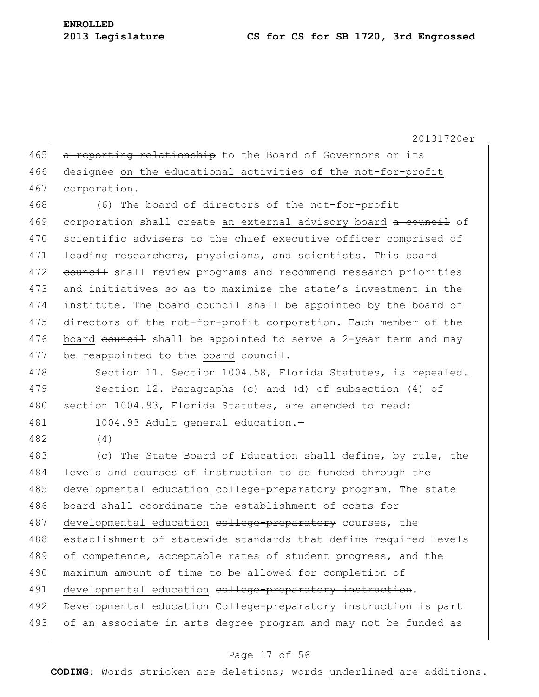465 a reporting relationship to the Board of Governors or its 466 designee on the educational activities of the not-for-profit 467 corporation.

468 (6) The board of directors of the not-for-profit 469 corporation shall create an external advisory board a council of 470 scientific advisers to the chief executive officer comprised of 471 leading researchers, physicians, and scientists. This board 472 council shall review programs and recommend research priorities 473 and initiatives so as to maximize the state's investment in the 474 institute. The board council shall be appointed by the board of 475 directors of the not-for-profit corporation. Each member of the 476 board council shall be appointed to serve a 2-year term and may  $477$  be reappointed to the board council.

478 Section 11. Section 1004.58, Florida Statutes, is repealed. 479 Section 12. Paragraphs (c) and (d) of subsection (4) of 480 section 1004.93, Florida Statutes, are amended to read:

481 1004.93 Adult general education.-

482 (4)

483 (c) The State Board of Education shall define, by rule, the 484 levels and courses of instruction to be funded through the 485 developmental education college-preparatory program. The state 486 board shall coordinate the establishment of costs for 487 developmental education college-preparatory courses, the 488 establishment of statewide standards that define required levels 489 of competence, acceptable rates of student progress, and the 490 maximum amount of time to be allowed for completion of 491 developmental education college-preparatory instruction. 492 Developmental education College-preparatory instruction is part 493 of an associate in arts degree program and may not be funded as

### Page 17 of 56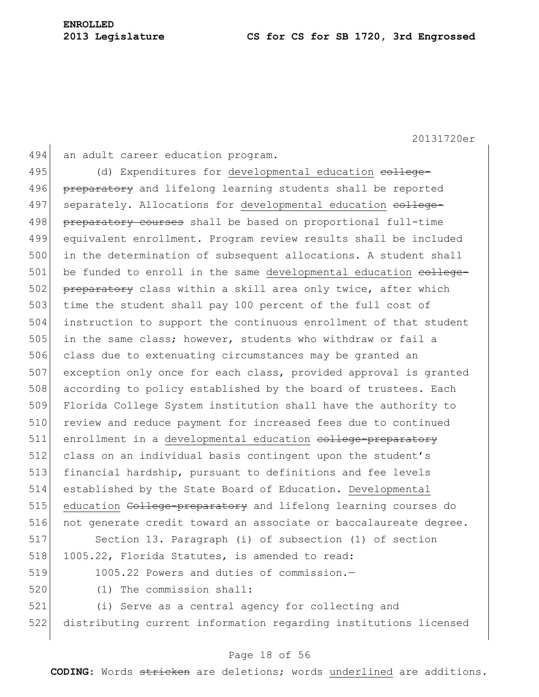494 an adult career education program.

495 (d) Expenditures for developmental education college-496 preparatory and lifelong learning students shall be reported 497 separately. Allocations for developmental education college-498 preparatory courses shall be based on proportional full-time 499 equivalent enrollment. Program review results shall be included 500 in the determination of subsequent allocations. A student shall 501 be funded to enroll in the same developmental education college-502 preparatory class within a skill area only twice, after which 503 time the student shall pay 100 percent of the full cost of 504 instruction to support the continuous enrollment of that student 505 in the same class; however, students who withdraw or fail a 506 class due to extenuating circumstances may be granted an 507 exception only once for each class, provided approval is granted 508 according to policy established by the board of trustees. Each 509 Florida College System institution shall have the authority to 510 review and reduce payment for increased fees due to continued 511 enrollment in a developmental education college-preparatory 512 class on an individual basis contingent upon the student's 513 financial hardship, pursuant to definitions and fee levels 514 established by the State Board of Education. Developmental 515 education College-preparatory and lifelong learning courses do 516 not generate credit toward an associate or baccalaureate degree. 517 Section 13. Paragraph (i) of subsection (1) of section 518 1005.22, Florida Statutes, is amended to read:

- 519 1005.22 Powers and duties of commission.—
- 

520 (1) The commission shall:

521 (i) Serve as a central agency for collecting and 522 distributing current information regarding institutions licensed

## Page 18 of 56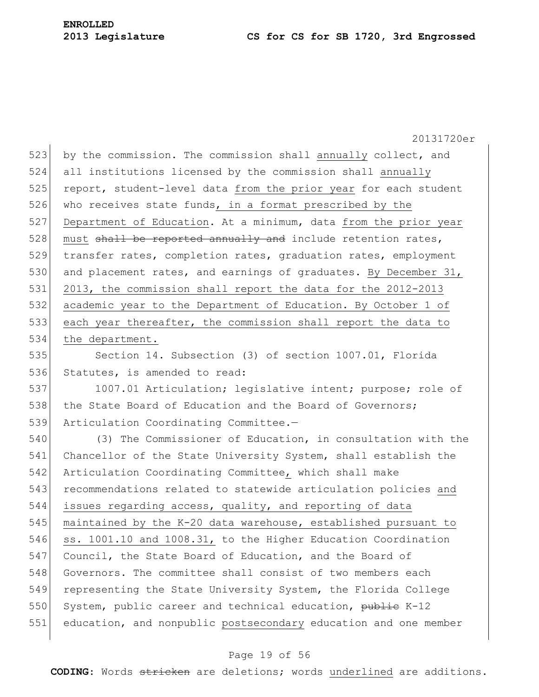20131720er 523 by the commission. The commission shall annually collect, and 524 all institutions licensed by the commission shall annually 525 report, student-level data from the prior year for each student 526 who receives state funds, in a format prescribed by the 527 Department of Education. At a minimum, data from the prior year 528 must shall be reported annually and include retention rates, 529 transfer rates, completion rates, graduation rates, employment 530 and placement rates, and earnings of graduates. By December 31, 531 2013, the commission shall report the data for the 2012-2013 532 academic year to the Department of Education. By October 1 of 533 each year thereafter, the commission shall report the data to 534 the department. 535 Section 14. Subsection (3) of section 1007.01, Florida 536 Statutes, is amended to read: 537 1007.01 Articulation; legislative intent; purpose; role of 538 the State Board of Education and the Board of Governors; 539 Articulation Coordinating Committee.— 540 (3) The Commissioner of Education, in consultation with the 541 Chancellor of the State University System, shall establish the 542 Articulation Coordinating Committee, which shall make 543 recommendations related to statewide articulation policies and

544 issues regarding access, quality, and reporting of data 545 maintained by the K-20 data warehouse, established pursuant to 546 ss. 1001.10 and 1008.31, to the Higher Education Coordination 547 Council, the State Board of Education, and the Board of 548 Governors. The committee shall consist of two members each 549 representing the State University System, the Florida College 550 System, public career and technical education, publie K-12 551 education, and nonpublic postsecondary education and one member

## Page 19 of 56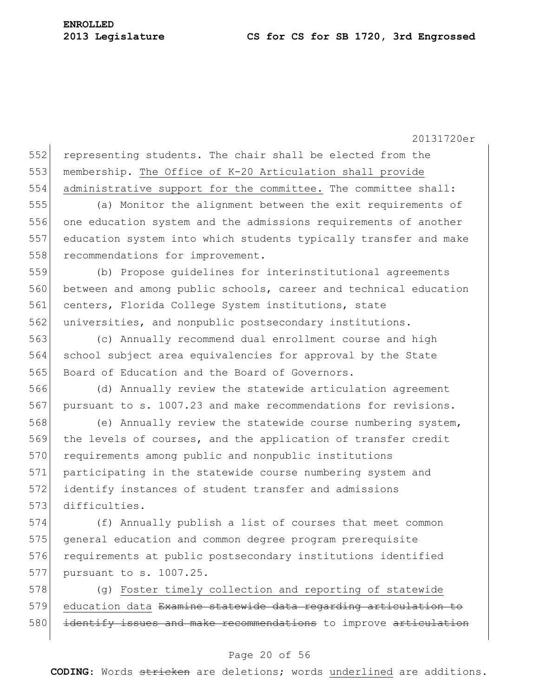552 representing students. The chair shall be elected from the 553 membership. The Office of K-20 Articulation shall provide 554 administrative support for the committee. The committee shall:

 (a) Monitor the alignment between the exit requirements of one education system and the admissions requirements of another education system into which students typically transfer and make 558 recommendations for improvement.

559 (b) Propose guidelines for interinstitutional agreements 560 between and among public schools, career and technical education 561 centers, Florida College System institutions, state 562 universities, and nonpublic postsecondary institutions.

563 (c) Annually recommend dual enrollment course and high 564 school subject area equivalencies for approval by the State 565 Board of Education and the Board of Governors.

566 (d) Annually review the statewide articulation agreement 567 pursuant to s. 1007.23 and make recommendations for revisions.

568 (e) Annually review the statewide course numbering system, 569 the levels of courses, and the application of transfer credit 570 requirements among public and nonpublic institutions 571 participating in the statewide course numbering system and 572 identify instances of student transfer and admissions 573 difficulties.

574 (f) Annually publish a list of courses that meet common 575 general education and common degree program prerequisite 576 requirements at public postsecondary institutions identified 577 pursuant to s. 1007.25.

578 (g) Foster timely collection and reporting of statewide 579 education data Examine statewide data regarding articulation to 580 identify issues and make recommendations to improve articulation

### Page 20 of 56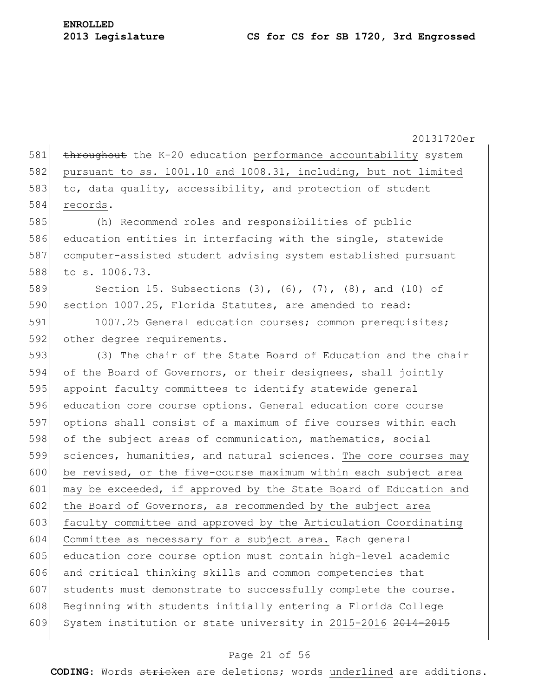20131720er 581 throughout the K-20 education performance accountability system 582 pursuant to ss. 1001.10 and 1008.31, including, but not limited 583 to, data quality, accessibility, and protection of student 584 records. 585 (h) Recommend roles and responsibilities of public 586 education entities in interfacing with the single, statewide 587 computer-assisted student advising system established pursuant 588 to s. 1006.73. 589 Section 15. Subsections (3), (6), (7), (8), and (10) of 590 section 1007.25, Florida Statutes, are amended to read: 591 1007.25 General education courses; common prerequisites; 592 other degree requirements.— 593 (3) The chair of the State Board of Education and the chair 594 of the Board of Governors, or their designees, shall jointly 595 appoint faculty committees to identify statewide general 596 education core course options. General education core course 597 options shall consist of a maximum of five courses within each 598 of the subject areas of communication, mathematics, social 599 sciences, humanities, and natural sciences. The core courses may 600 be revised, or the five-course maximum within each subject area 601 may be exceeded, if approved by the State Board of Education and 602 the Board of Governors, as recommended by the subject area 603 faculty committee and approved by the Articulation Coordinating 604 Committee as necessary for a subject area. Each general 605 education core course option must contain high-level academic 606 and critical thinking skills and common competencies that 607 students must demonstrate to successfully complete the course. 608 Beginning with students initially entering a Florida College 609 System institution or state university in 2015-2016 2014-2015

### Page 21 of 56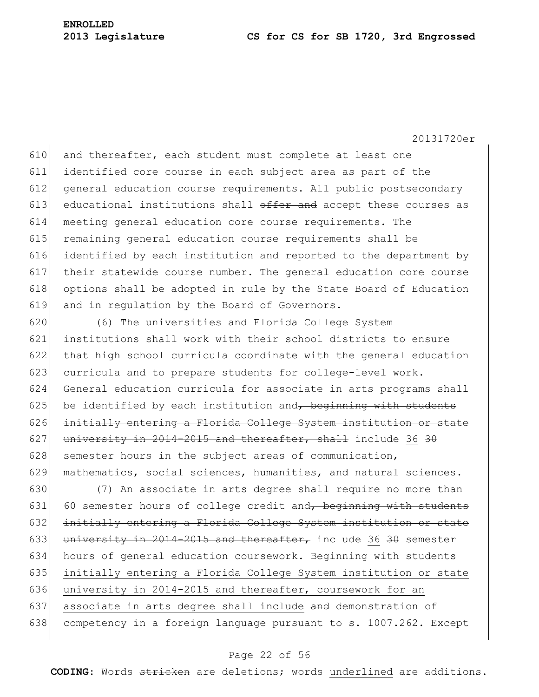610 and thereafter, each student must complete at least one identified core course in each subject area as part of the general education course requirements. All public postsecondary 613 educational institutions shall  $\theta$  offer and accept these courses as meeting general education core course requirements. The remaining general education course requirements shall be identified by each institution and reported to the department by their statewide course number. The general education core course options shall be adopted in rule by the State Board of Education and in regulation by the Board of Governors.

 (6) The universities and Florida College System institutions shall work with their school districts to ensure that high school curricula coordinate with the general education 623 curricula and to prepare students for college-level work. General education curricula for associate in arts programs shall be identified by each institution and, beginning with students initially entering a Florida College System institution or state 627 university in 2014-2015 and thereafter, shall include 36 30 628 semester hours in the subject areas of communication, mathematics, social sciences, humanities, and natural sciences.

630 (7) An associate in arts degree shall require no more than 631 60 semester hours of college credit and, beginning with students 632 initially entering a Florida College System institution or state 633 university in 2014-2015 and thereafter, include 36 30 semester 634 hours of general education coursework. Beginning with students 635 initially entering a Florida College System institution or state 636 university in 2014-2015 and thereafter, coursework for an 637 associate in arts degree shall include and demonstration of 638 competency in a foreign language pursuant to s. 1007.262. Except

## Page 22 of 56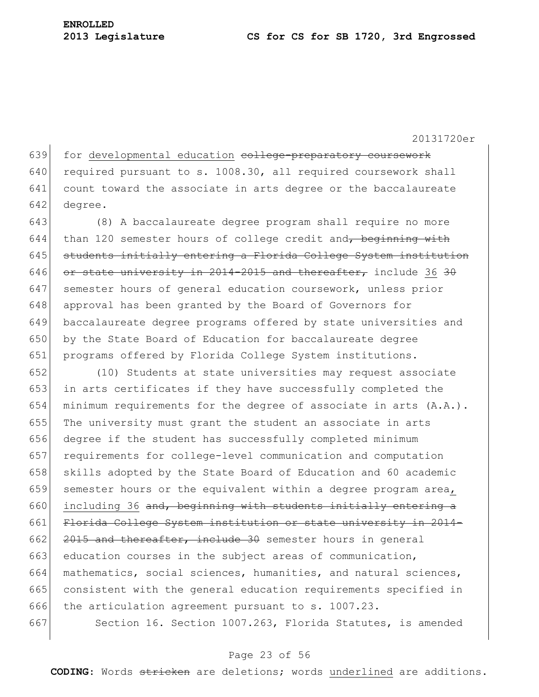639 for developmental education college-preparatory coursework 640 required pursuant to s. 1008.30, all required coursework shall 641 count toward the associate in arts degree or the baccalaureate 642 degree.

643 (8) A baccalaureate degree program shall require no more 644 than 120 semester hours of college credit and, beginning with 645 students initially entering a Florida College System institution 646 or state university in 2014-2015 and thereafter, include 36 30 647 semester hours of general education coursework, unless prior 648 approval has been granted by the Board of Governors for 649 baccalaureate degree programs offered by state universities and 650 by the State Board of Education for baccalaureate degree 651 programs offered by Florida College System institutions.

 (10) Students at state universities may request associate 653 in arts certificates if they have successfully completed the minimum requirements for the degree of associate in arts (A.A.). The university must grant the student an associate in arts degree if the student has successfully completed minimum requirements for college-level communication and computation 658 skills adopted by the State Board of Education and 60 academic 659 semester hours or the equivalent within a degree program area, 660 including 36 and, beginning with students initially entering a Florida College System institution or state university in 2014-  $2015$  and thereafter, include 30 semester hours in general 663 education courses in the subject areas of communication, mathematics, social sciences, humanities, and natural sciences, consistent with the general education requirements specified in the articulation agreement pursuant to s. 1007.23.

667 Section 16. Section 1007.263, Florida Statutes, is amended

## Page 23 of 56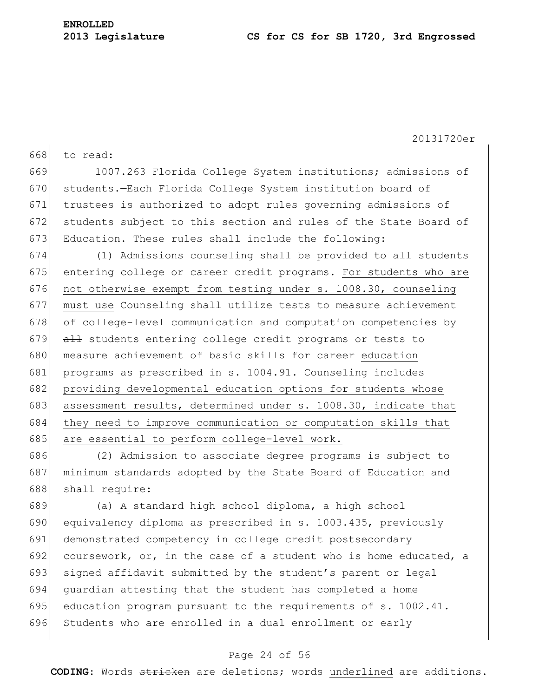668 to read: 669 1007.263 Florida College System institutions; admissions of 670 students. - Each Florida College System institution board of 671 trustees is authorized to adopt rules governing admissions of 672 students subject to this section and rules of the State Board of 673 Education. These rules shall include the following: 674 (1) Admissions counseling shall be provided to all students 675 entering college or career credit programs. For students who are 676 not otherwise exempt from testing under s. 1008.30, counseling 677 must use Counseling shall utilize tests to measure achievement 678 of college-level communication and computation competencies by  $679$  all students entering college credit programs or tests to 680 measure achievement of basic skills for career education 681 programs as prescribed in s. 1004.91. Counseling includes 682 providing developmental education options for students whose 683 assessment results, determined under s. 1008.30, indicate that 684 they need to improve communication or computation skills that 685 are essential to perform college-level work.

686 (2) Admission to associate degree programs is subject to 687 minimum standards adopted by the State Board of Education and 688 shall require:

689 (a) A standard high school diploma, a high school 690 equivalency diploma as prescribed in s. 1003.435, previously 691 demonstrated competency in college credit postsecondary 692 coursework, or, in the case of a student who is home educated, a 693 signed affidavit submitted by the student's parent or legal 694 guardian attesting that the student has completed a home 695 education program pursuant to the requirements of  $s. 1002.41$ . 696 Students who are enrolled in a dual enrollment or early

## Page 24 of 56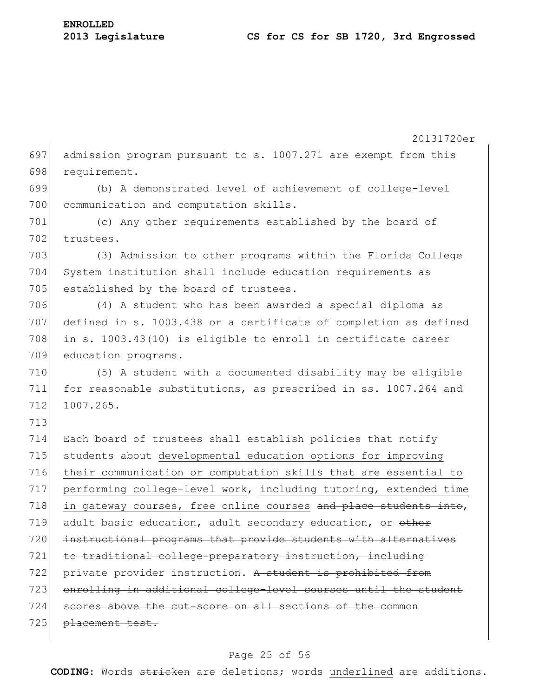20131720er 697 admission program pursuant to s. 1007.271 are exempt from this 698 requirement. 699 (b) A demonstrated level of achievement of college-level 700 communication and computation skills. 701 (c) Any other requirements established by the board of 702 trustees. 703 (3) Admission to other programs within the Florida College 704 System institution shall include education requirements as 705 established by the board of trustees. 706 (4) A student who has been awarded a special diploma as 707 defined in s. 1003.438 or a certificate of completion as defined 708 in s. 1003.43(10) is eligible to enroll in certificate career 709 education programs. 710 (5) A student with a documented disability may be eligible 711 for reasonable substitutions, as prescribed in ss. 1007.264 and 712 1007.265. 713 714 Each board of trustees shall establish policies that notify 715 students about developmental education options for improving 716 their communication or computation skills that are essential to 717 performing college-level work, including tutoring, extended time 718 in gateway courses, free online courses and place students into, 719 adult basic education, adult secondary education, or other 720 instructional programs that provide students with alternatives 721 to traditional college-preparatory instruction, including 722 private provider instruction. A student is prohibited from 723 enrolling in additional college-level courses until the student 724 scores above the cut-score on all sections of the common 725 placement test.

## Page 25 of 56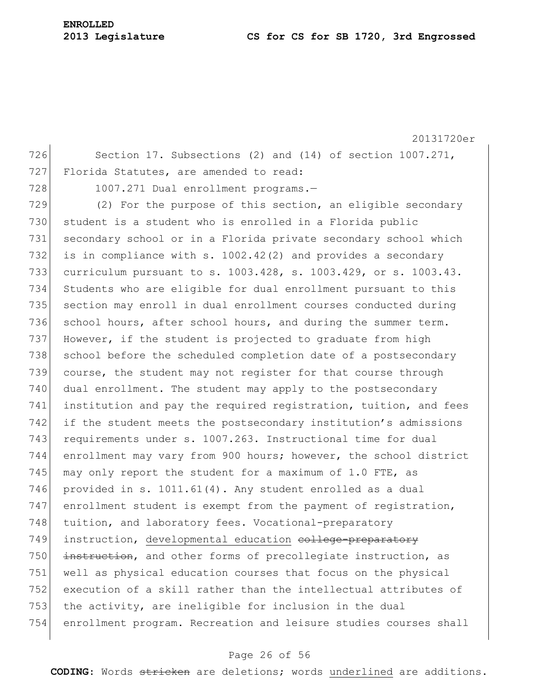20131720er 726 Section 17. Subsections (2) and (14) of section 1007.271, 727 Florida Statutes, are amended to read: 728 1007.271 Dual enrollment programs.-729  $(2)$  For the purpose of this section, an eligible secondary 730 student is a student who is enrolled in a Florida public 731 secondary school or in a Florida private secondary school which 732 is in compliance with s.  $1002.42(2)$  and provides a secondary 733 curriculum pursuant to s. 1003.428, s. 1003.429, or s. 1003.43. 734 Students who are eligible for dual enrollment pursuant to this 735 section may enroll in dual enrollment courses conducted during 736 school hours, after school hours, and during the summer term. 737 However, if the student is projected to graduate from high 738 school before the scheduled completion date of a postsecondary 739 course, the student may not register for that course through 740 dual enrollment. The student may apply to the postsecondary 741 institution and pay the required registration, tuition, and fees 742 if the student meets the postsecondary institution's admissions 743 requirements under s. 1007.263. Instructional time for dual 744 enrollment may vary from 900 hours; however, the school district 745 may only report the student for a maximum of 1.0 FTE, as 746 provided in s. 1011.61(4). Any student enrolled as a dual 747 enrollment student is exempt from the payment of registration, 748 tuition, and laboratory fees. Vocational-preparatory 749 instruction, developmental education college-preparatory 750 instruction, and other forms of precollegiate instruction, as 751 well as physical education courses that focus on the physical 752 execution of a skill rather than the intellectual attributes of 753 the activity, are ineligible for inclusion in the dual 754 enrollment program. Recreation and leisure studies courses shall

## Page 26 of 56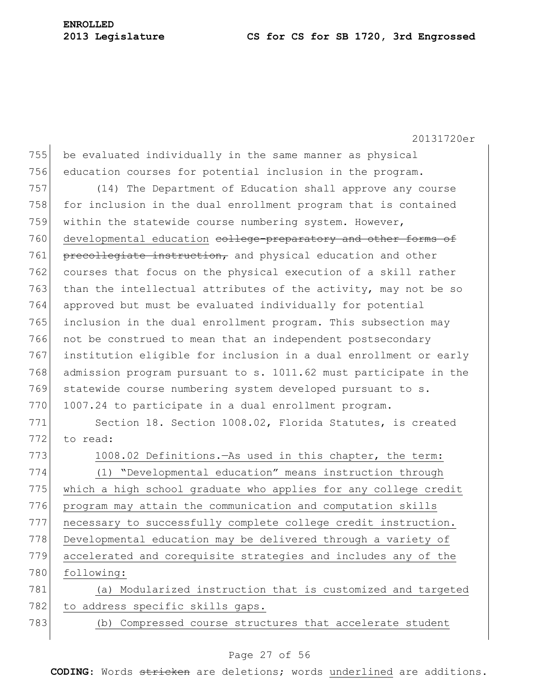755 be evaluated individually in the same manner as physical 756 education courses for potential inclusion in the program.

757 (14) The Department of Education shall approve any course 758 for inclusion in the dual enrollment program that is contained 759 within the statewide course numbering system. However, 760 developmental education college-preparatory and other forms of 761 precollegiate instruction, and physical education and other 762 courses that focus on the physical execution of a skill rather 763 than the intellectual attributes of the activity, may not be so 764 approved but must be evaluated individually for potential 765 inclusion in the dual enrollment program. This subsection may 766 not be construed to mean that an independent postsecondary 767 institution eligible for inclusion in a dual enrollment or early 768 admission program pursuant to s. 1011.62 must participate in the 769 statewide course numbering system developed pursuant to s. 770 1007.24 to participate in a dual enrollment program.

771 Section 18. Section 1008.02, Florida Statutes, is created 772 to read:

773 1008.02 Definitions.—As used in this chapter, the term: (1) "Developmental education" means instruction through 775 which a high school graduate who applies for any college credit program may attain the communication and computation skills necessary to successfully complete college credit instruction. 778 Developmental education may be delivered through a variety of accelerated and corequisite strategies and includes any of the following: (a) Modularized instruction that is customized and targeted

782 to address specific skills gaps.

783 (b) Compressed course structures that accelerate student

## Page 27 of 56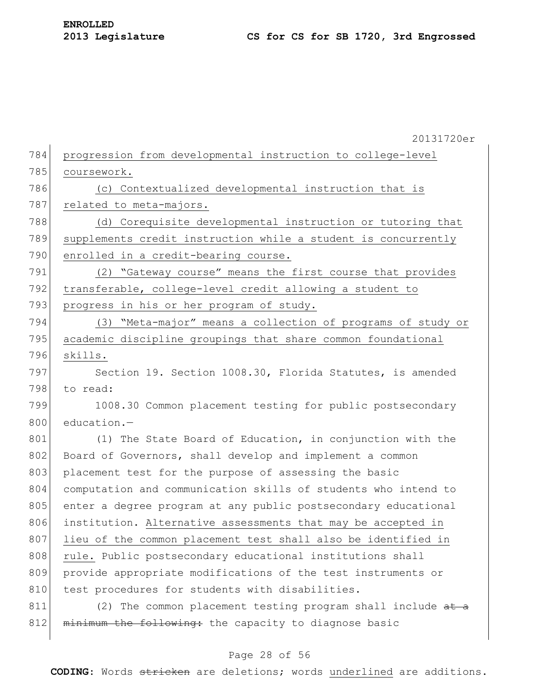20131720er 784 progression from developmental instruction to college-level 785 coursework. 786 (c) Contextualized developmental instruction that is 787 related to meta-majors. 788 (d) Corequisite developmental instruction or tutoring that 789 supplements credit instruction while a student is concurrently 790 enrolled in a credit-bearing course. 791 (2) "Gateway course" means the first course that provides 792 transferable, college-level credit allowing a student to 793 progress in his or her program of study. 794 (3) "Meta-major" means a collection of programs of study or 795 academic discipline groupings that share common foundational 796 skills. 797 Section 19. Section 1008.30, Florida Statutes, is amended 798 to read: 799 1008.30 Common placement testing for public postsecondary 800 education.-801 (1) The State Board of Education, in conjunction with the 802 Board of Governors, shall develop and implement a common 803 placement test for the purpose of assessing the basic 804 computation and communication skills of students who intend to 805 enter a degree program at any public postsecondary educational 806 institution. Alternative assessments that may be accepted in 807 lieu of the common placement test shall also be identified in 808 rule. Public postsecondary educational institutions shall 809 provide appropriate modifications of the test instruments or 810 test procedures for students with disabilities.  $811$  (2) The common placement testing program shall include  $at - a$  $812$  minimum the following: the capacity to diagnose basic

## Page 28 of 56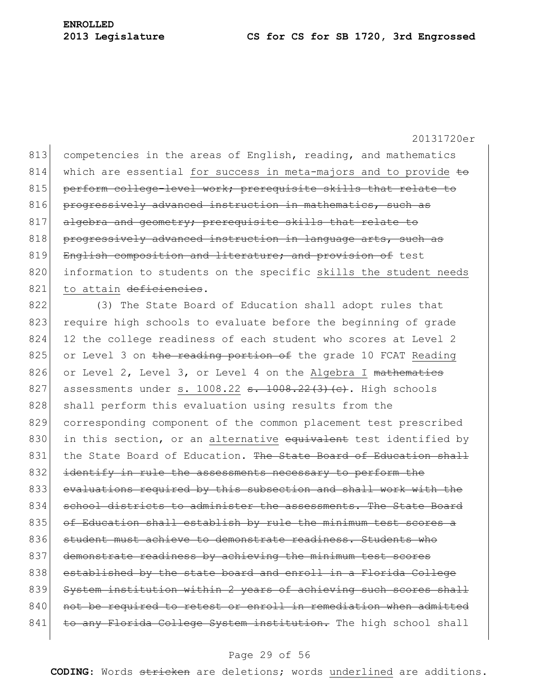813 competencies in the areas of English, reading, and mathematics 814 which are essential for success in meta-majors and to provide to 815 perform college-level work; prerequisite skills that relate to 816 progressively advanced instruction in mathematics, such as 817 algebra and geometry; prerequisite skills that relate to 818 progressively advanced instruction in language arts, such as 819 English composition and literature; and provision of test 820 information to students on the specific skills the student needs 821 to attain deficiencies.

822 (3) The State Board of Education shall adopt rules that 823 require high schools to evaluate before the beginning of grade 824 12 the college readiness of each student who scores at Level 2 825 or Level 3 on the reading portion of the grade 10 FCAT Reading 826 or Level 2, Level 3, or Level 4 on the Algebra I mathematics 827 assessments under s. 1008.22  $s. 1008.22(3)(c)$ . High schools 828 shall perform this evaluation using results from the 829 corresponding component of the common placement test prescribed 830 in this section, or an alternative equivalent test identified by 831 the State Board of Education. The State Board of Education shall 832 identify in rule the assessments necessary to perform the 833 evaluations required by this subsection and shall work with the 834 school districts to administer the assessments. The State Board 835 of Education shall establish by rule the minimum test scores a 836 student must achieve to demonstrate readiness. Students who 837 demonstrate readiness by achieving the minimum test scores 838 established by the state board and enroll in a Florida College 839 System institution within 2 years of achieving such scores shall 840 not be required to retest or enroll in remediation when admitted 841 to any Florida College System institution. The high school shall

## Page 29 of 56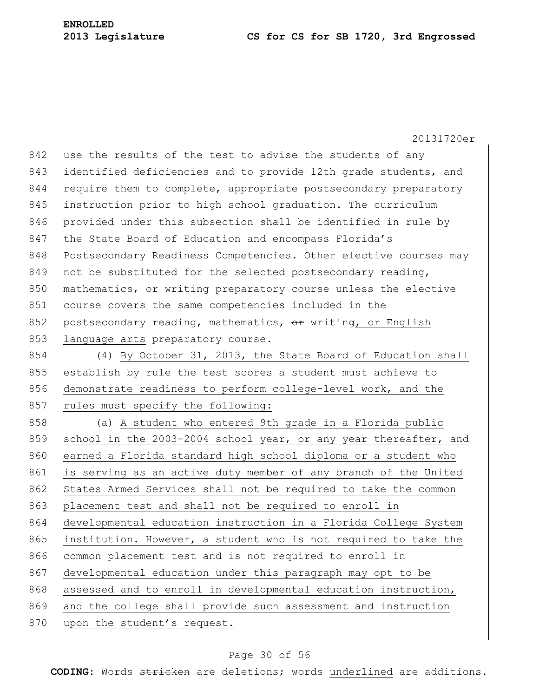842 use the results of the test to advise the students of any 843 identified deficiencies and to provide 12th grade students, and 844 require them to complete, appropriate postsecondary preparatory 845 instruction prior to high school graduation. The curriculum 846 provided under this subsection shall be identified in rule by 847 the State Board of Education and encompass Florida's 848 Postsecondary Readiness Competencies. Other elective courses may 849 not be substituted for the selected postsecondary reading, 850 mathematics, or writing preparatory course unless the elective 851 course covers the same competencies included in the 852 postsecondary reading, mathematics,  $\Theta$ ref writing, or English 853 language arts preparatory course.

854 (4) By October 31, 2013, the State Board of Education shall 855 establish by rule the test scores a student must achieve to 856 demonstrate readiness to perform college-level work, and the 857 rules must specify the following:

858 (a) A student who entered 9th grade in a Florida public 859 school in the 2003-2004 school year, or any year thereafter, and 860 earned a Florida standard high school diploma or a student who 861 is serving as an active duty member of any branch of the United 862 States Armed Services shall not be required to take the common 863 placement test and shall not be required to enroll in 864 developmental education instruction in a Florida College System 865 institution. However, a student who is not required to take the 866 common placement test and is not required to enroll in 867 developmental education under this paragraph may opt to be 868 assessed and to enroll in developmental education instruction, 869 and the college shall provide such assessment and instruction 870 upon the student's request.

#### Page 30 of 56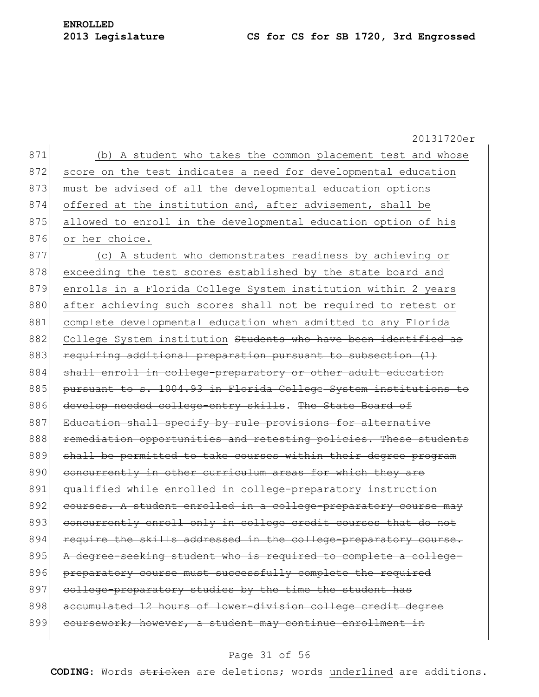20131720er 871 (b) A student who takes the common placement test and whose 872 score on the test indicates a need for developmental education 873 must be advised of all the developmental education options 874 offered at the institution and, after advisement, shall be 875 allowed to enroll in the developmental education option of his 876 or her choice. 877 (c) A student who demonstrates readiness by achieving or 878 exceeding the test scores established by the state board and 879 enrolls in a Florida College System institution within 2 years 880 after achieving such scores shall not be required to retest or 881 complete developmental education when admitted to any Florida 882 College System institution Students who have been identified as 883 requiring additional preparation pursuant to subsection (1) 884 shall enroll in college-preparatory or other adult education 885 pursuant to s. 1004.93 in Florida College System institutions to 886 develop needed college-entry skills. The State Board of 887 Education shall specify by rule provisions for alternative 888 **remediation opportunities and retesting policies. These students** 889 shall be permitted to take courses within their degree program 890 concurrently in other curriculum areas for which they are 891 qualified while enrolled in college-preparatory instruction 892 courses. A student enrolled in a college-preparatory course may 893 concurrently enroll only in college credit courses that do not 894 require the skills addressed in the college-preparatory course. 895 A degree-seeking student who is required to complete a college-896 preparatory course must successfully complete the required 897 college-preparatory studies by the time the student has 898 accumulated 12 hours of lower-division college credit degree 899 coursework; however, a student may continue enrollment in

#### Page 31 of 56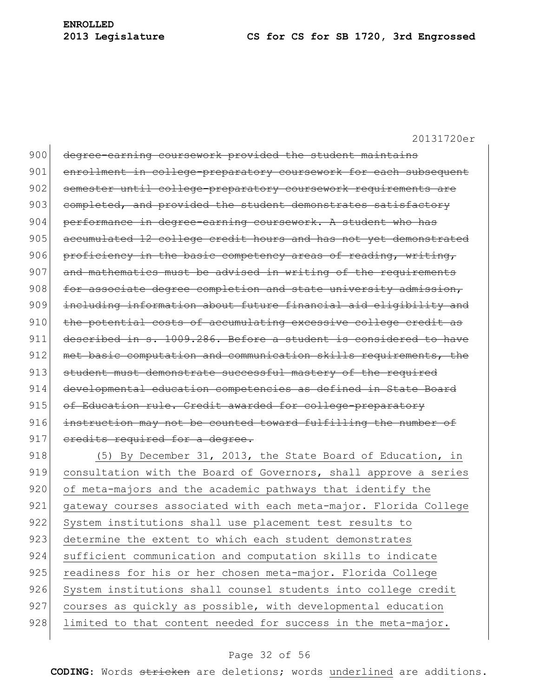| 900 | degree-earning coursework provided the student maintains         |
|-----|------------------------------------------------------------------|
| 901 | enrollment in college-preparatory coursework for each subsequent |
| 902 | semester until college-preparatory coursework requirements are   |
| 903 | completed, and provided the student demonstrates satisfactory    |
| 904 | performance in degree-earning coursework. A student who has      |
| 905 | accumulated 12 college credit hours and has not yet demonstrated |
| 906 | proficiency in the basic competency areas of reading, writing,   |
| 907 | and mathematics must be advised in writing of the requirements   |
| 908 | for associate degree completion and state university admission,  |
| 909 | including information about future financial aid eligibility and |
| 910 | the potential costs of accumulating excessive college credit as  |
| 911 | described in s. 1009.286. Before a student is considered to have |
| 912 | met basic computation and communication skills requirements, the |
| 913 | student must demonstrate successful mastery of the required      |
| 914 | developmental education competencies as defined in State Board   |
|     |                                                                  |
| 915 | of Education rule. Credit awarded for college-preparatory        |
| 916 | instruction may not be counted toward fulfilling the number of   |
| 917 | eredits required for a degree.                                   |
| 918 | (5) By December 31, 2013, the State Board of Education, in       |
| 919 | consultation with the Board of Governors, shall approve a series |
| 920 | of meta-majors and the academic pathways that identify the       |
| 921 | gateway courses associated with each meta-major. Florida College |
| 922 | System institutions shall use placement test results to          |
| 923 | determine the extent to which each student demonstrates          |
| 924 | sufficient communication and computation skills to indicate      |
| 925 | readiness for his or her chosen meta-major. Florida College      |
| 926 | System institutions shall counsel students into college credit   |
| 927 | courses as quickly as possible, with developmental education     |
| 928 | limited to that content needed for success in the meta-major.    |

## Page 32 of 56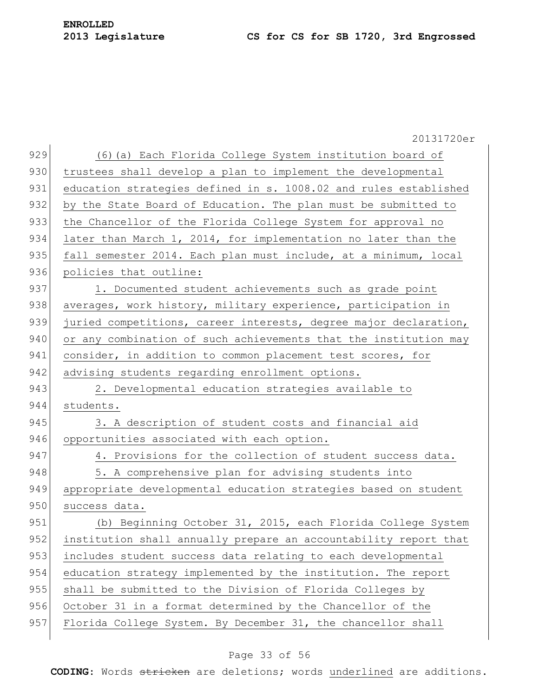|     | 20131720er                                                       |
|-----|------------------------------------------------------------------|
| 929 | (6) (a) Each Florida College System institution board of         |
| 930 | trustees shall develop a plan to implement the developmental     |
| 931 | education strategies defined in s. 1008.02 and rules established |
| 932 | by the State Board of Education. The plan must be submitted to   |
| 933 | the Chancellor of the Florida College System for approval no     |
| 934 | later than March 1, 2014, for implementation no later than the   |
| 935 | fall semester 2014. Each plan must include, at a minimum, local  |
| 936 | policies that outline:                                           |
| 937 | 1. Documented student achievements such as grade point           |
| 938 | averages, work history, military experience, participation in    |
| 939 | juried competitions, career interests, degree major declaration, |
| 940 | or any combination of such achievements that the institution may |
| 941 | consider, in addition to common placement test scores, for       |
| 942 | advising students regarding enrollment options.                  |
| 943 | 2. Developmental education strategies available to               |
| 944 | students.                                                        |
| 945 | 3. A description of student costs and financial aid              |
| 946 | opportunities associated with each option.                       |
| 947 | 4. Provisions for the collection of student success data.        |
| 948 | 5. A comprehensive plan for advising students into               |
| 949 | appropriate developmental education strategies based on student  |
| 950 | success data.                                                    |
| 951 | (b) Beginning October 31, 2015, each Florida College System      |
| 952 | institution shall annually prepare an accountability report that |
| 953 | includes student success data relating to each developmental     |
| 954 | education strategy implemented by the institution. The report    |
| 955 | shall be submitted to the Division of Florida Colleges by        |
| 956 | October 31 in a format determined by the Chancellor of the       |
| 957 | Florida College System. By December 31, the chancellor shall     |
|     |                                                                  |

## Page 33 of 56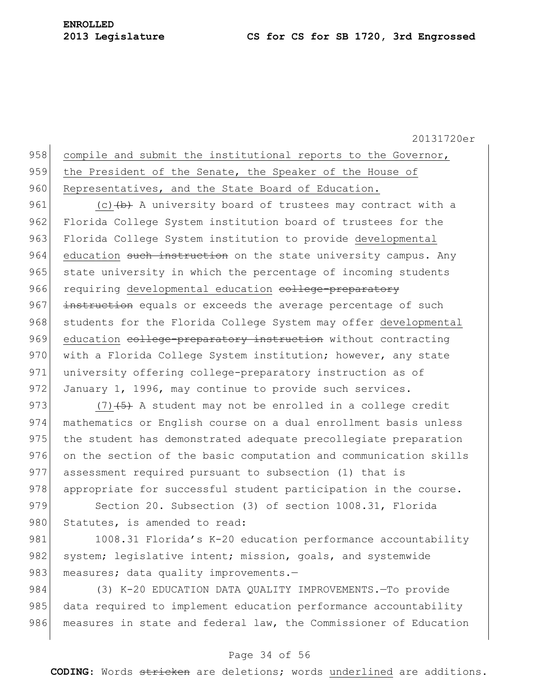## 958 compile and submit the institutional reports to the Governor, 959 the President of the Senate, the Speaker of the House of 960 Representatives, and the State Board of Education.

961 (c)  $(b)$  A university board of trustees may contract with a 962 Florida College System institution board of trustees for the 963 Florida College System institution to provide developmental 964 education such instruction on the state university campus. Any 965 state university in which the percentage of incoming students 966 requiring developmental education college-preparatory 967 instruction equals or exceeds the average percentage of such 968 students for the Florida College System may offer developmental 969 education college-preparatory instruction without contracting 970 with a Florida College System institution; however, any state 971 university offering college-preparatory instruction as of 972 January 1, 1996, may continue to provide such services.

973  $(7)$   $(5)$  A student may not be enrolled in a college credit 974 mathematics or English course on a dual enrollment basis unless 975 the student has demonstrated adequate precollegiate preparation 976 on the section of the basic computation and communication skills 977 assessment required pursuant to subsection (1) that is 978 appropriate for successful student participation in the course. 979 Section 20. Subsection (3) of section 1008.31, Florida

980 Statutes, is amended to read:

981 1008.31 Florida's K-20 education performance accountability 982 system; legislative intent; mission, goals, and systemwide 983 measures; data quality improvements.-

984 (3) K-20 EDUCATION DATA QUALITY IMPROVEMENTS.—To provide 985 data required to implement education performance accountability 986 measures in state and federal law, the Commissioner of Education

## Page 34 of 56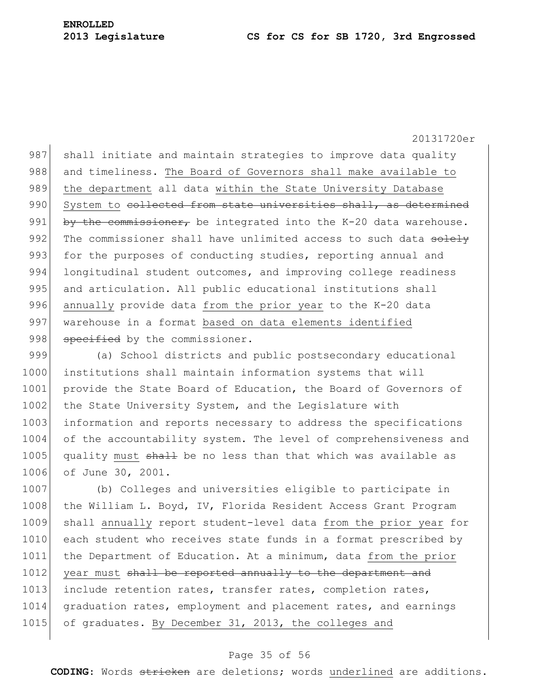987 shall initiate and maintain strategies to improve data quality 988 and timeliness. The Board of Governors shall make available to 989 the department all data within the State University Database 990 System to collected from state universities shall, as determined 991 by the commissioner, be integrated into the K-20 data warehouse. 992 The commissioner shall have unlimited access to such data solely 993 for the purposes of conducting studies, reporting annual and 994 longitudinal student outcomes, and improving college readiness 995 and articulation. All public educational institutions shall 996 annually provide data from the prior year to the K-20 data 997 warehouse in a format based on data elements identified 998 specified by the commissioner.

999 (a) School districts and public postsecondary educational 1000 institutions shall maintain information systems that will 1001 provide the State Board of Education, the Board of Governors of 1002 the State University System, and the Legislature with 1003 information and reports necessary to address the specifications 1004 of the accountability system. The level of comprehensiveness and 1005 quality must shall be no less than that which was available as 1006 of June 30, 2001.

1007 (b) Colleges and universities eligible to participate in 1008 the William L. Boyd, IV, Florida Resident Access Grant Program 1009 shall annually report student-level data from the prior year for 1010 each student who receives state funds in a format prescribed by 1011 the Department of Education. At a minimum, data from the prior 1012 year must shall be reported annually to the department and 1013 include retention rates, transfer rates, completion rates, 1014 graduation rates, employment and placement rates, and earnings 1015 of graduates. By December 31, 2013, the colleges and

## Page 35 of 56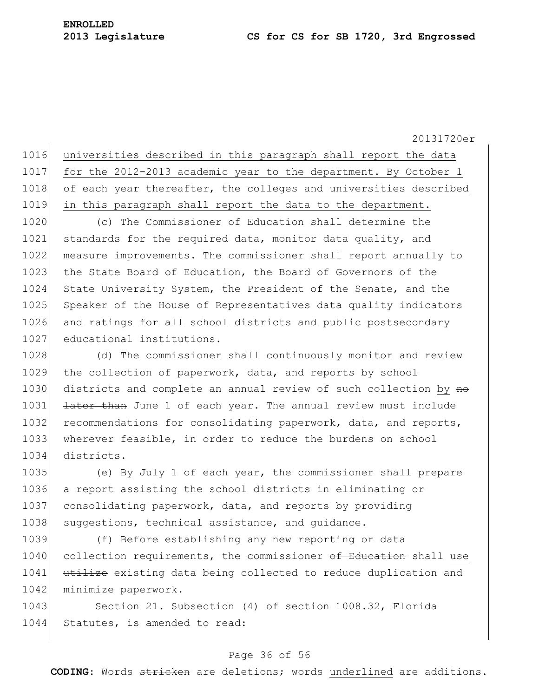1016 universities described in this paragraph shall report the data 1017 for the 2012-2013 academic year to the department. By October 1 1018 of each year thereafter, the colleges and universities described 1019 in this paragraph shall report the data to the department.

1020 (c) The Commissioner of Education shall determine the 1021 standards for the required data, monitor data quality, and 1022 measure improvements. The commissioner shall report annually to 1023 the State Board of Education, the Board of Governors of the 1024 State University System, the President of the Senate, and the 1025 Speaker of the House of Representatives data quality indicators 1026 and ratings for all school districts and public postsecondary 1027 educational institutions.

1028 (d) The commissioner shall continuously monitor and review 1029 the collection of paperwork, data, and reports by school 1030 districts and complete an annual review of such collection by no 1031 **later than** June 1 of each year. The annual review must include 1032 recommendations for consolidating paperwork, data, and reports, 1033 wherever feasible, in order to reduce the burdens on school 1034 districts.

 (e) By July 1 of each year, the commissioner shall prepare a report assisting the school districts in eliminating or consolidating paperwork, data, and reports by providing 1038 suggestions, technical assistance, and guidance.

1039 (f) Before establishing any new reporting or data 1040 collection requirements, the commissioner of Education shall use 1041 utilize existing data being collected to reduce duplication and 1042 minimize paperwork.

1043 Section 21. Subsection (4) of section 1008.32, Florida 1044 Statutes, is amended to read:

## Page 36 of 56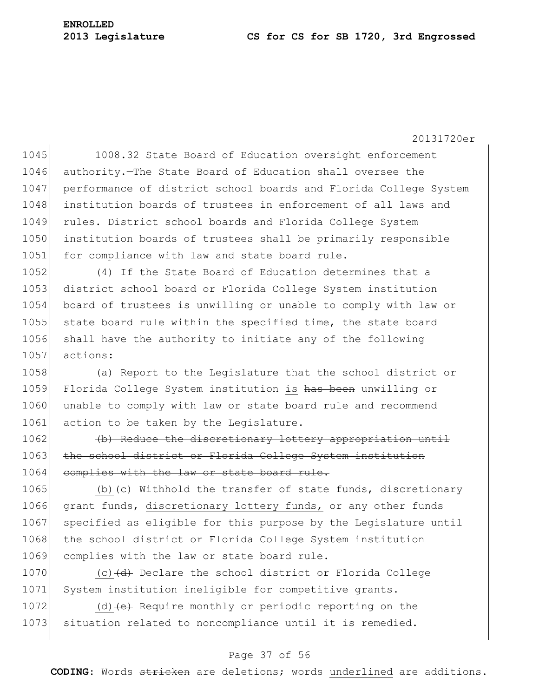20131720er

1045 1008.32 State Board of Education oversight enforcement 1046 authority. The State Board of Education shall oversee the 1047 performance of district school boards and Florida College System 1048 institution boards of trustees in enforcement of all laws and 1049 rules. District school boards and Florida College System 1050 institution boards of trustees shall be primarily responsible 1051 for compliance with law and state board rule.

 (4) If the State Board of Education determines that a district school board or Florida College System institution board of trustees is unwilling or unable to comply with law or 1055 state board rule within the specified time, the state board shall have the authority to initiate any of the following 1057 actions:

1058 (a) Report to the Legislature that the school district or 1059 Florida College System institution is has been unwilling or 1060 unable to comply with law or state board rule and recommend 1061 action to be taken by the Legislature.

1062 (b) Reduce the discretionary lottery appropriation until 1063 the school district or Florida College System institution 1064 complies with the law or state board rule.

1065 (b)  $\left\lbrace \begin{array}{c} \epsilon \end{array} \right\rbrace$  Withhold the transfer of state funds, discretionary 1066 grant funds, discretionary lottery funds, or any other funds 1067 | specified as eligible for this purpose by the Legislature until 1068 the school district or Florida College System institution 1069 complies with the law or state board rule.

1070  $(c)$   $(d)$  Declare the school district or Florida College 1071 System institution ineligible for competitive grants.

1072 (d) $\left\{ e \right\}$  Require monthly or periodic reporting on the 1073 situation related to noncompliance until it is remedied.

## Page 37 of 56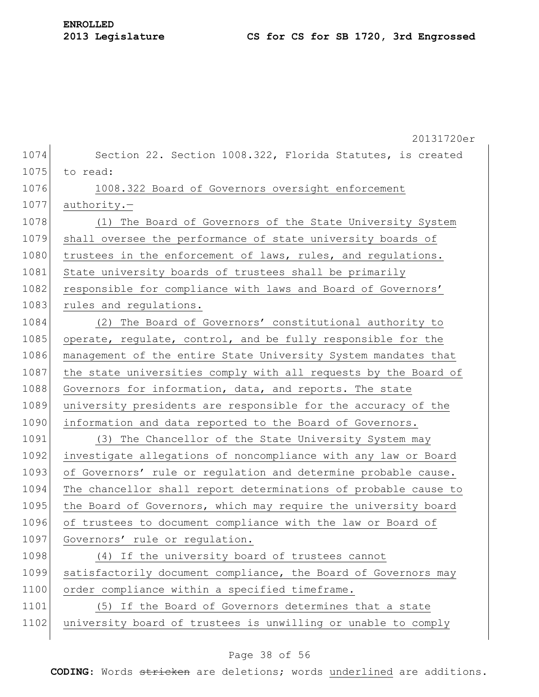|      | 20131720er                                                      |
|------|-----------------------------------------------------------------|
| 1074 | Section 22. Section 1008.322, Florida Statutes, is created      |
| 1075 | to read:                                                        |
| 1076 | 1008.322 Board of Governors oversight enforcement               |
| 1077 | $a$ uthority.-                                                  |
| 1078 | (1) The Board of Governors of the State University System       |
| 1079 | shall oversee the performance of state university boards of     |
| 1080 | trustees in the enforcement of laws, rules, and regulations.    |
| 1081 | State university boards of trustees shall be primarily          |
| 1082 | responsible for compliance with laws and Board of Governors'    |
| 1083 | rules and regulations.                                          |
| 1084 | (2) The Board of Governors' constitutional authority to         |
| 1085 | operate, regulate, control, and be fully responsible for the    |
| 1086 | management of the entire State University System mandates that  |
| 1087 | the state universities comply with all requests by the Board of |
| 1088 | Governors for information, data, and reports. The state         |
| 1089 | university presidents are responsible for the accuracy of the   |
| 1090 | information and data reported to the Board of Governors.        |
| 1091 | (3) The Chancellor of the State University System may           |
| 1092 | investigate allegations of noncompliance with any law or Board  |
| 1093 | of Governors' rule or regulation and determine probable cause.  |
| 1094 | The chancellor shall report determinations of probable cause to |
| 1095 | the Board of Governors, which may require the university board  |
| 1096 | of trustees to document compliance with the law or Board of     |
| 1097 | Governors' rule or regulation.                                  |
| 1098 | (4) If the university board of trustees cannot                  |
| 1099 | satisfactorily document compliance, the Board of Governors may  |
| 1100 | order compliance within a specified timeframe.                  |
| 1101 | (5) If the Board of Governors determines that a state           |
| 1102 | university board of trustees is unwilling or unable to comply   |
|      |                                                                 |

## Page 38 of 56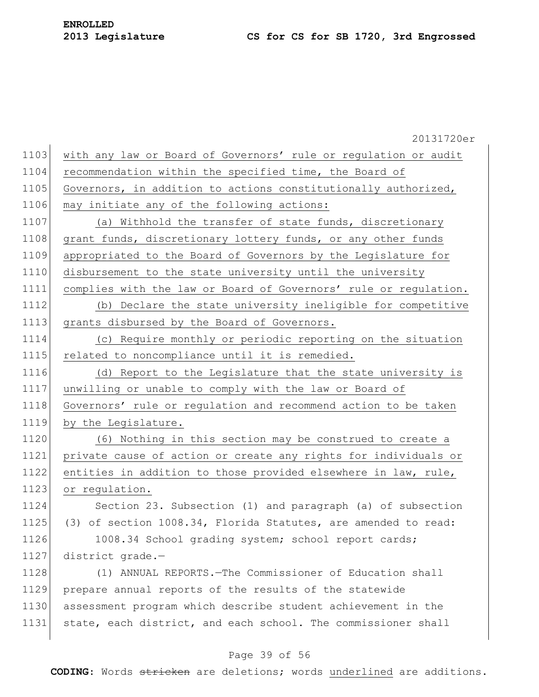20131720er 1103 with any law or Board of Governors' rule or regulation or audit 1104 recommendation within the specified time, the Board of 1105 Governors, in addition to actions constitutionally authorized, 1106 may initiate any of the following actions: 1107 (a) Withhold the transfer of state funds, discretionary 1108 grant funds, discretionary lottery funds, or any other funds 1109 appropriated to the Board of Governors by the Legislature for 1110 disbursement to the state university until the university 1111 complies with the law or Board of Governors' rule or regulation. 1112 (b) Declare the state university ineligible for competitive 1113 grants disbursed by the Board of Governors. 1114 (c) Require monthly or periodic reporting on the situation 1115 related to noncompliance until it is remedied. 1116 (d) Report to the Legislature that the state university is 1117 unwilling or unable to comply with the law or Board of 1118 Governors' rule or regulation and recommend action to be taken 1119 by the Legislature. 1120 (6) Nothing in this section may be construed to create a 1121 private cause of action or create any rights for individuals or 1122 entities in addition to those provided elsewhere in law, rule, 1123 or regulation. 1124 Section 23. Subsection (1) and paragraph (a) of subsection 1125 (3) of section 1008.34, Florida Statutes, are amended to read: 1126 1008.34 School grading system; school report cards; 1127 district grade.-1128 (1) ANNUAL REPORTS.—The Commissioner of Education shall 1129 prepare annual reports of the results of the statewide 1130 assessment program which describe student achievement in the 1131 state, each district, and each school. The commissioner shall

## Page 39 of 56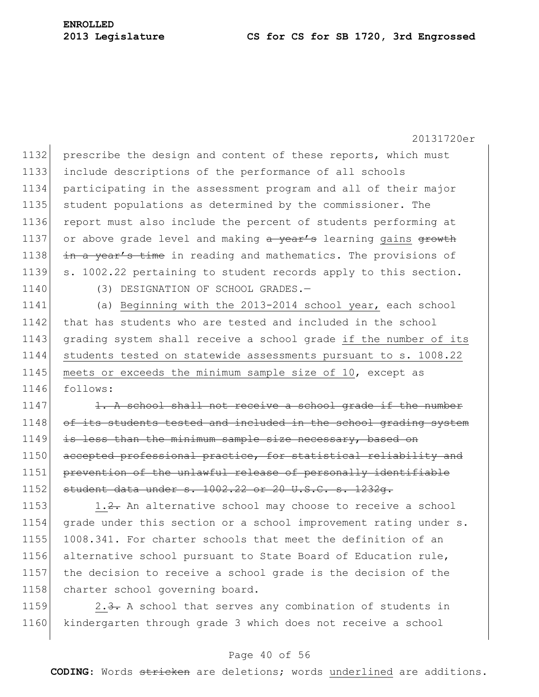20131720er 1132 prescribe the design and content of these reports, which must 1133 include descriptions of the performance of all schools 1134 participating in the assessment program and all of their major 1135 student populations as determined by the commissioner. The 1136 report must also include the percent of students performing at 1137 or above grade level and making  $a$  year's learning gains growth 1138  $\frac{1}{10}$  in a year's time in reading and mathematics. The provisions of 1139 s. 1002.22 pertaining to student records apply to this section. 1140 (3) DESIGNATION OF SCHOOL GRADES.-1141 (a) Beginning with the 2013-2014 school year, each school 1142 that has students who are tested and included in the school 1143 grading system shall receive a school grade if the number of its 1144 students tested on statewide assessments pursuant to s. 1008.22 1145 meets or exceeds the minimum sample size of 10, except as 1146 follows:  $1147$  1. A school shall not receive a school grade if the number 1148 of its students tested and included in the school grading system 1149 is less than the minimum sample size necessary, based on 1150 accepted professional practice, for statistical reliability and 1151 prevention of the unlawful release of personally identifiable 1152 student data under s. 1002.22 or 20 U.S.C. s. 1232g. 1153 1.2. An alternative school may choose to receive a school 1154 grade under this section or a school improvement rating under s. 1155 1008.341. For charter schools that meet the definition of an 1156 alternative school pursuant to State Board of Education rule,

1158 charter school governing board.

1159 2.3. A school that serves any combination of students in 1160 kindergarten through grade 3 which does not receive a school

1157 the decision to receive a school grade is the decision of the

## Page 40 of 56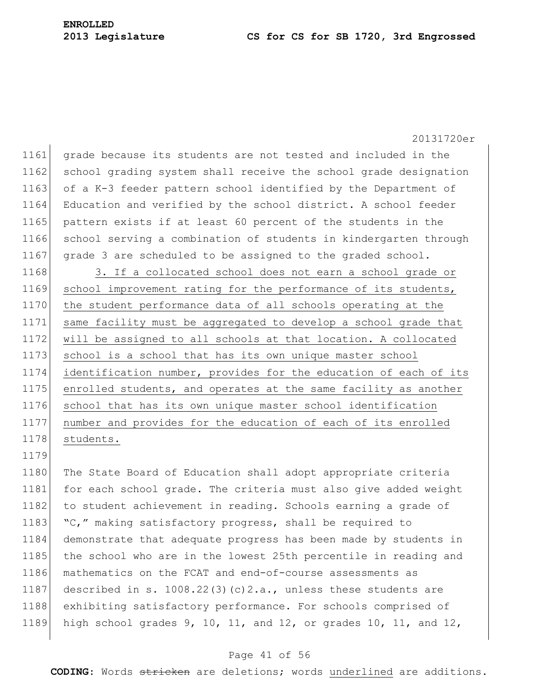20131720er 1161 grade because its students are not tested and included in the 1162 school grading system shall receive the school grade designation 1163 of a K-3 feeder pattern school identified by the Department of 1164 Education and verified by the school district. A school feeder 1165 pattern exists if at least 60 percent of the students in the 1166 school serving a combination of students in kindergarten through 1167 grade 3 are scheduled to be assigned to the graded school. 1168 3. If a collocated school does not earn a school grade or 1169 school improvement rating for the performance of its students, 1170 the student performance data of all schools operating at the 1171 same facility must be aggregated to develop a school grade that 1172 will be assigned to all schools at that location. A collocated 1173 school is a school that has its own unique master school 1174 identification number, provides for the education of each of its 1175 enrolled students, and operates at the same facility as another 1176 school that has its own unique master school identification 1177 number and provides for the education of each of its enrolled 1178 students. 1179 1180 The State Board of Education shall adopt appropriate criteria 1181 for each school grade. The criteria must also give added weight 1182 to student achievement in reading. Schools earning a grade of 1183 "C," making satisfactory progress, shall be required to 1184 demonstrate that adequate progress has been made by students in 1185 the school who are in the lowest 25th percentile in reading and 1186 mathematics on the FCAT and end-of-course assessments as 1187 described in s. 1008.22(3)(c)2.a., unless these students are

1188 exhibiting satisfactory performance. For schools comprised of 1189 high school grades 9, 10, 11, and 12, or grades 10, 11, and 12,

#### Page 41 of 56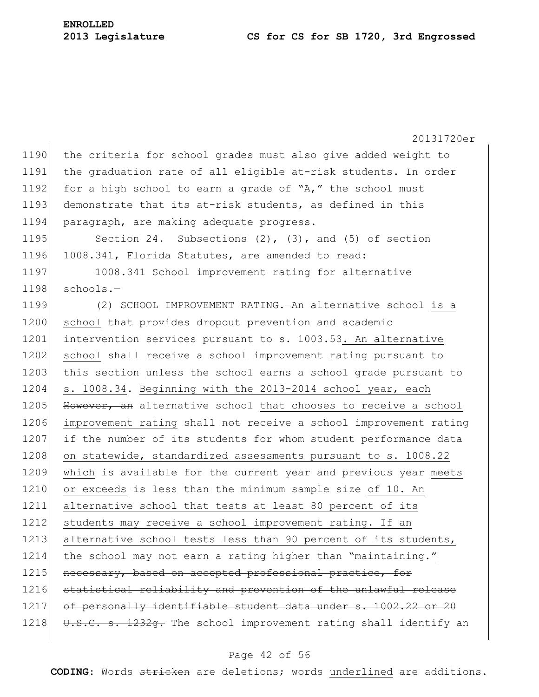20131720er 1190 the criteria for school grades must also give added weight to 1191 the graduation rate of all eligible at-risk students. In order 1192 for a high school to earn a grade of "A," the school must 1193 demonstrate that its at-risk students, as defined in this 1194 paragraph, are making adequate progress. 1195 Section 24. Subsections (2), (3), and (5) of section 1196 1008.341, Florida Statutes, are amended to read: 1197 1008.341 School improvement rating for alternative  $1198$  schools.-1199 (2) SCHOOL IMPROVEMENT RATING.—An alternative school is a 1200 school that provides dropout prevention and academic 1201 intervention services pursuant to s. 1003.53. An alternative 1202 school shall receive a school improvement rating pursuant to 1203 this section unless the school earns a school grade pursuant to 1204 s. 1008.34. Beginning with the 2013-2014 school year, each 1205 However, an alternative school that chooses to receive a school 1206 improvement rating shall not receive a school improvement rating 1207 if the number of its students for whom student performance data 1208 on statewide, standardized assessments pursuant to s. 1008.22 1209 which is available for the current year and previous year meets 1210 or exceeds is less than the minimum sample size of 10. An 1211 alternative school that tests at least 80 percent of its 1212 students may receive a school improvement rating. If an 1213 alternative school tests less than 90 percent of its students, 1214 the school may not earn a rating higher than "maintaining." 1215 necessary, based on accepted professional practice, for 1216 statistical reliability and prevention of the unlawful release 1217 of personally identifiable student data under s. 1002.22 or 20 1218 U.S.C. s. 1232g. The school improvement rating shall identify an

#### Page 42 of 56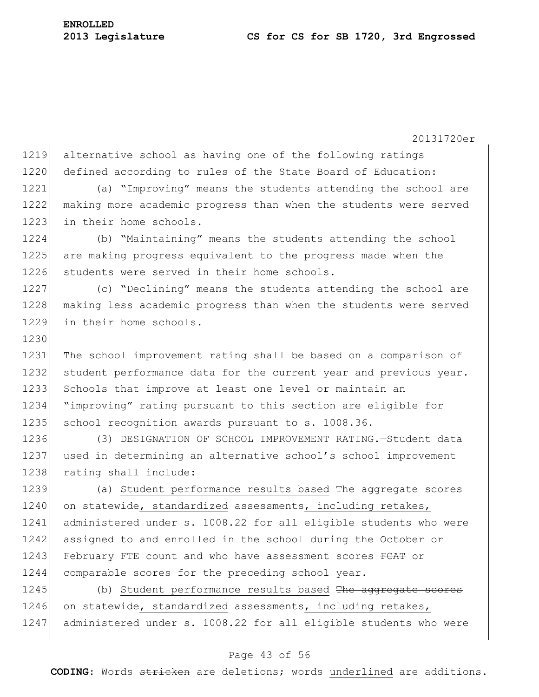20131720er 1219 alternative school as having one of the following ratings 1220 defined according to rules of the State Board of Education: 1221 (a) "Improving" means the students attending the school are 1222 making more academic progress than when the students were served 1223 in their home schools. 1224 (b) "Maintaining" means the students attending the school 1225 are making progress equivalent to the progress made when the 1226 students were served in their home schools. 1227 (c) "Declining" means the students attending the school are 1228 making less academic progress than when the students were served 1229 in their home schools. 1230 1231 The school improvement rating shall be based on a comparison of 1232 student performance data for the current year and previous year. 1233 Schools that improve at least one level or maintain an 1234 "improving" rating pursuant to this section are eligible for 1235 school recognition awards pursuant to s. 1008.36. 1236 (3) DESIGNATION OF SCHOOL IMPROVEMENT RATING.—Student data 1237 used in determining an alternative school's school improvement 1238 rating shall include: 1239 (a) Student performance results based The aggregate scores 1240 on statewide, standardized assessments, including retakes, 1241 administered under s. 1008.22 for all eligible students who were 1242 assigned to and enrolled in the school during the October or 1243 February FTE count and who have assessment scores FCAT or 1244 comparable scores for the preceding school year. 1245 (b) Student performance results based The aggregate scores 1246 on statewide, standardized assessments, including retakes, 1247 administered under s. 1008.22 for all eligible students who were

#### Page 43 of 56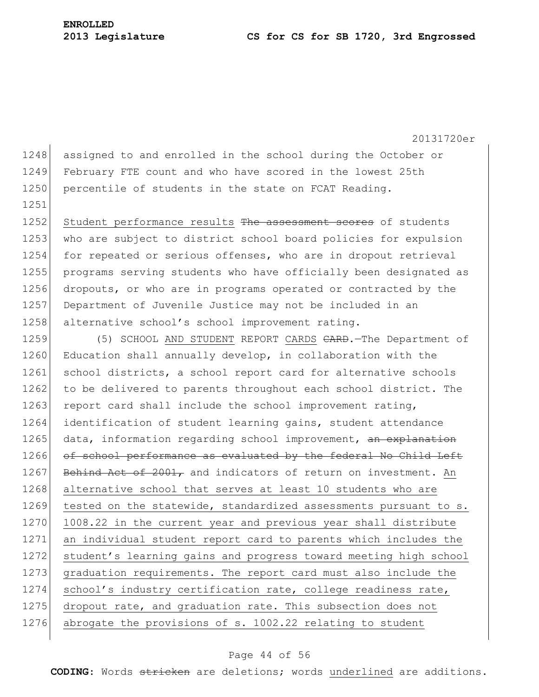1251

20131720er

1248 assigned to and enrolled in the school during the October or 1249 February FTE count and who have scored in the lowest 25th 1250 percentile of students in the state on FCAT Reading.

1252 Student performance results The assessment scores of students 1253 who are subject to district school board policies for expulsion 1254 for repeated or serious offenses, who are in dropout retrieval 1255 programs serving students who have officially been designated as 1256 dropouts, or who are in programs operated or contracted by the 1257 Department of Juvenile Justice may not be included in an 1258 alternative school's school improvement rating.

1259 (5) SCHOOL AND STUDENT REPORT CARDS CARD. The Department of 1260 Education shall annually develop, in collaboration with the 1261 school districts, a school report card for alternative schools 1262 to be delivered to parents throughout each school district. The 1263 report card shall include the school improvement rating, 1264 identification of student learning gains, student attendance 1265 data, information regarding school improvement, an explanation 1266 of school performance as evaluated by the federal No Child Left 1267 Behind Act of 2001, and indicators of return on investment. An 1268 alternative school that serves at least 10 students who are 1269 tested on the statewide, standardized assessments pursuant to s. 1270 1008.22 in the current year and previous year shall distribute 1271 an individual student report card to parents which includes the 1272 student's learning gains and progress toward meeting high school 1273 graduation requirements. The report card must also include the 1274 school's industry certification rate, college readiness rate, 1275 dropout rate, and graduation rate. This subsection does not 1276 abrogate the provisions of s. 1002.22 relating to student

### Page 44 of 56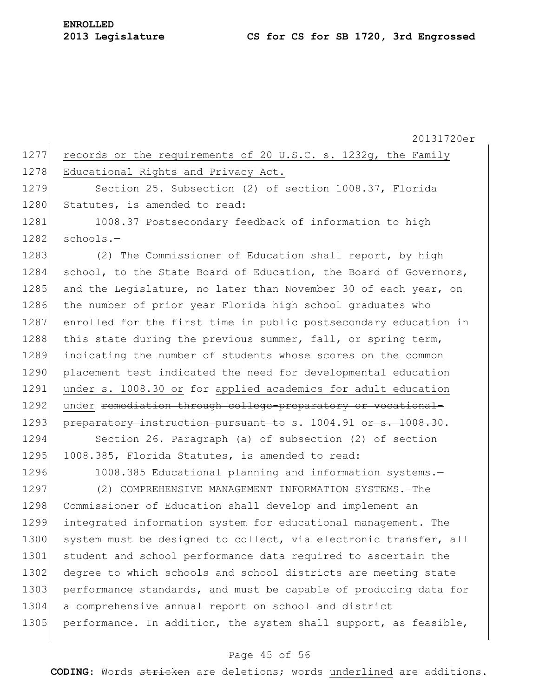20131720er 1277 records or the requirements of 20 U.S.C. s. 1232g, the Family 1278 Educational Rights and Privacy Act. 1279 Section 25. Subsection (2) of section 1008.37, Florida 1280 Statutes, is amended to read: 1281 1008.37 Postsecondary feedback of information to high  $1282$  schools.-1283 (2) The Commissioner of Education shall report, by high 1284 school, to the State Board of Education, the Board of Governors, 1285 and the Legislature, no later than November 30 of each year, on 1286 the number of prior year Florida high school graduates who 1287 enrolled for the first time in public postsecondary education in 1288 this state during the previous summer, fall, or spring term, 1289 indicating the number of students whose scores on the common 1290 placement test indicated the need for developmental education 1291 under s. 1008.30 or for applied academics for adult education 1292 under remediation through college-preparatory or vocational-1293 preparatory instruction pursuant to s. 1004.91 or s. 1008.30. 1294 Section 26. Paragraph (a) of subsection (2) of section 1295 1008.385, Florida Statutes, is amended to read: 1296 1008.385 Educational planning and information systems.-1297 (2) COMPREHENSIVE MANAGEMENT INFORMATION SYSTEMS.—The 1298 Commissioner of Education shall develop and implement an 1299 integrated information system for educational management. The 1300 system must be designed to collect, via electronic transfer, all 1301 student and school performance data required to ascertain the 1302 degree to which schools and school districts are meeting state 1303 performance standards, and must be capable of producing data for 1304 a comprehensive annual report on school and district 1305 performance. In addition, the system shall support, as feasible,

## Page 45 of 56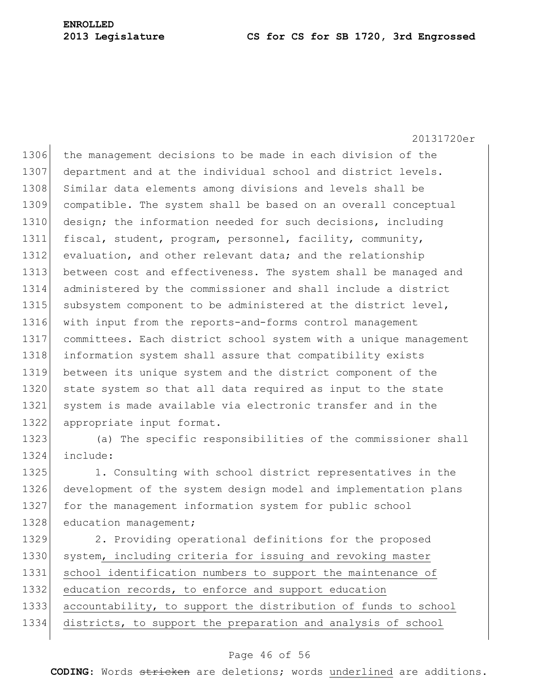1306 the management decisions to be made in each division of the 1307 department and at the individual school and district levels. 1308 Similar data elements among divisions and levels shall be 1309 compatible. The system shall be based on an overall conceptual 1310 design; the information needed for such decisions, including 1311 fiscal, student, program, personnel, facility, community, 1312 evaluation, and other relevant data; and the relationship 1313 between cost and effectiveness. The system shall be managed and 1314 administered by the commissioner and shall include a district 1315 subsystem component to be administered at the district level, 1316 with input from the reports-and-forms control management 1317 committees. Each district school system with a unique management 1318 information system shall assure that compatibility exists 1319 between its unique system and the district component of the 1320 state system so that all data required as input to the state 1321 system is made available via electronic transfer and in the 1322 appropriate input format.

1323 (a) The specific responsibilities of the commissioner shall 1324 include:

1325 1. Consulting with school district representatives in the 1326 development of the system design model and implementation plans 1327 for the management information system for public school 1328 education management;

1329 2. Providing operational definitions for the proposed 1330 system, including criteria for issuing and revoking master 1331 school identification numbers to support the maintenance of 1332 education records, to enforce and support education 1333 accountability, to support the distribution of funds to school 1334 districts, to support the preparation and analysis of school

## Page 46 of 56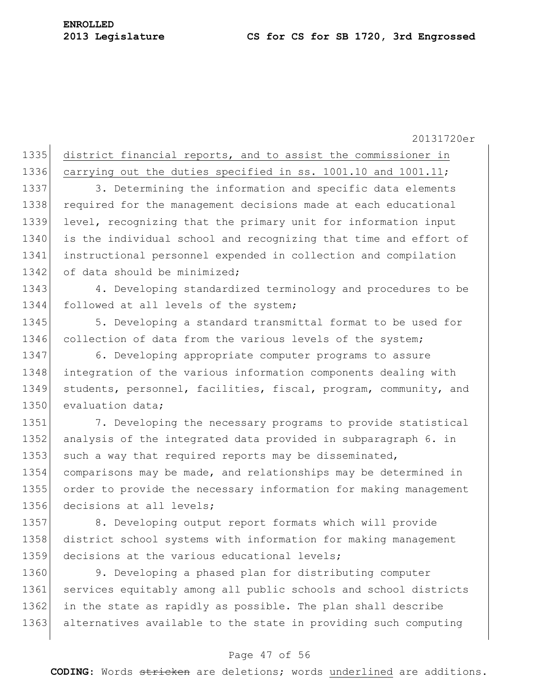1335 district financial reports, and to assist the commissioner in

1336 carrying out the duties specified in ss. 1001.10 and 1001.11;

1337 3. Determining the information and specific data elements 1338 required for the management decisions made at each educational 1339 level, recognizing that the primary unit for information input 1340 is the individual school and recognizing that time and effort of 1341 instructional personnel expended in collection and compilation 1342 of data should be minimized;

1343 4. Developing standardized terminology and procedures to be 1344 followed at all levels of the system;

1345 5. Developing a standard transmittal format to be used for 1346 collection of data from the various levels of the system;

1347 6. Developing appropriate computer programs to assure 1348 integration of the various information components dealing with 1349 students, personnel, facilities, fiscal, program, community, and 1350 evaluation data;

 7. Developing the necessary programs to provide statistical 1352 analysis of the integrated data provided in subparagraph 6. in 1353 such a way that required reports may be disseminated, comparisons may be made, and relationships may be determined in order to provide the necessary information for making management decisions at all levels;

1357 8. Developing output report formats which will provide 1358 district school systems with information for making management 1359 decisions at the various educational levels;

1360 9. Developing a phased plan for distributing computer 1361 services equitably among all public schools and school districts 1362 in the state as rapidly as possible. The plan shall describe 1363 alternatives available to the state in providing such computing

#### Page 47 of 56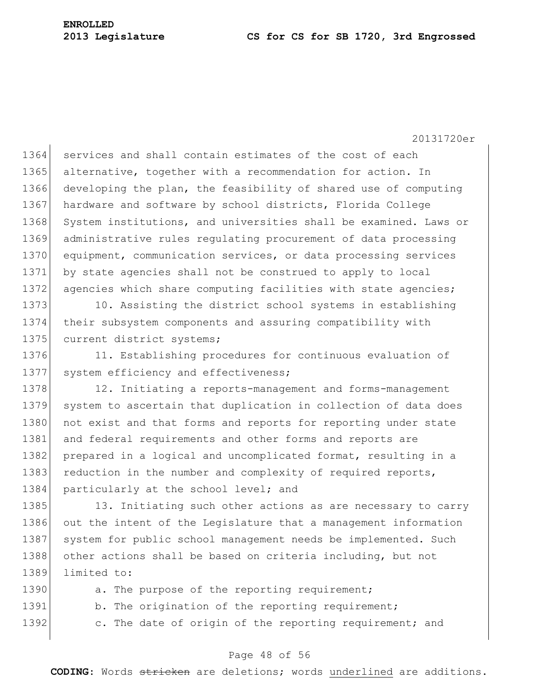20131720er

1364 services and shall contain estimates of the cost of each 1365 alternative, together with a recommendation for action. In 1366 developing the plan, the feasibility of shared use of computing 1367 hardware and software by school districts, Florida College 1368 System institutions, and universities shall be examined. Laws or 1369 administrative rules regulating procurement of data processing 1370 equipment, communication services, or data processing services 1371 by state agencies shall not be construed to apply to local 1372 agencies which share computing facilities with state agencies;

1373 10. Assisting the district school systems in establishing 1374 their subsystem components and assuring compatibility with 1375 current district systems;

1376 11. Establishing procedures for continuous evaluation of 1377 system efficiency and effectiveness;

1378 12. Initiating a reports-management and forms-management 1379 system to ascertain that duplication in collection of data does 1380 not exist and that forms and reports for reporting under state 1381 and federal requirements and other forms and reports are 1382 prepared in a logical and uncomplicated format, resulting in a 1383 reduction in the number and complexity of required reports, 1384 particularly at the school level; and

1385 13. Initiating such other actions as are necessary to carry 1386 out the intent of the Legislature that a management information 1387 system for public school management needs be implemented. Such 1388 other actions shall be based on criteria including, but not 1389 limited to:

| 1390 |  | a. The purpose of the reporting requirement;            |
|------|--|---------------------------------------------------------|
| 1391 |  | b. The origination of the reporting requirement;        |
| 1392 |  | c. The date of origin of the reporting requirement; and |

#### Page 48 of 56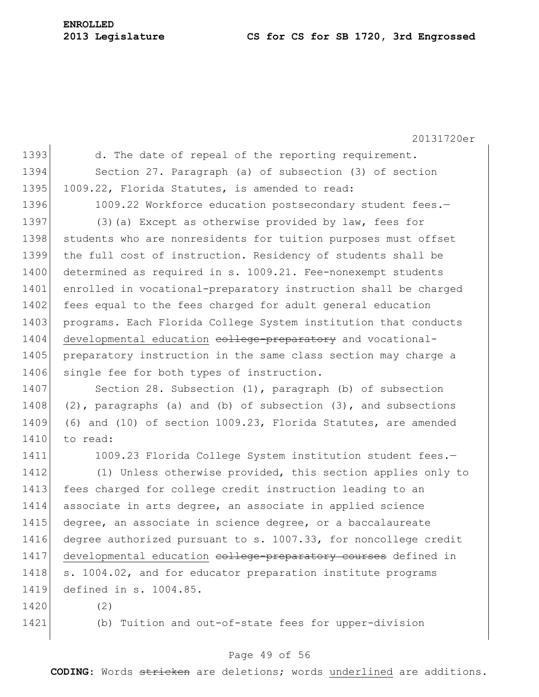20131720er 1393 d. The date of repeal of the reporting requirement. 1394 Section 27. Paragraph (a) of subsection (3) of section 1395 1009.22, Florida Statutes, is amended to read: 1396 1009.22 Workforce education postsecondary student fees.-1397 (3) (a) Except as otherwise provided by law, fees for 1398 students who are nonresidents for tuition purposes must offset 1399 the full cost of instruction. Residency of students shall be 1400 determined as required in s. 1009.21. Fee-nonexempt students 1401 enrolled in vocational-preparatory instruction shall be charged 1402 fees equal to the fees charged for adult general education 1403 programs. Each Florida College System institution that conducts 1404 developmental education college-preparatory and vocational-1405 preparatory instruction in the same class section may charge a 1406 single fee for both types of instruction. 1407 Section 28. Subsection (1), paragraph (b) of subsection 1408 (2), paragraphs (a) and (b) of subsection (3), and subsections 1409 (6) and (10) of section 1009.23, Florida Statutes, are amended 1410 to read: 1411 1009.23 Florida College System institution student fees.-1412 (1) Unless otherwise provided, this section applies only to 1413 fees charged for college credit instruction leading to an 1414 associate in arts degree, an associate in applied science 1415 degree, an associate in science degree, or a baccalaureate 1416 degree authorized pursuant to s. 1007.33, for noncollege credit 1417 developmental education college-preparatory courses defined in 1418 s. 1004.02, and for educator preparation institute programs 1419 defined in s. 1004.85. 1420 (2) 1421 (b) Tuition and out-of-state fees for upper-division

## Page 49 of 56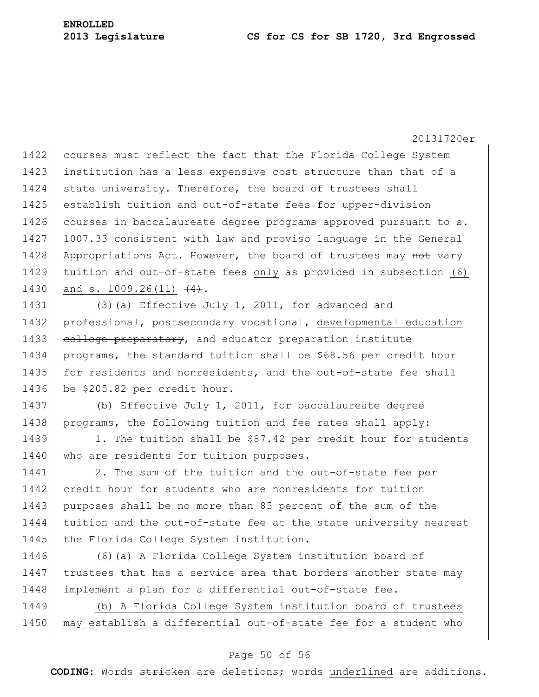1422 courses must reflect the fact that the Florida College System 1423 institution has a less expensive cost structure than that of a 1424 state university. Therefore, the board of trustees shall 1425 establish tuition and out-of-state fees for upper-division 1426 courses in baccalaureate degree programs approved pursuant to s. 1427 1007.33 consistent with law and proviso language in the General 1428 Appropriations Act. However, the board of trustees may not vary 1429 tuition and out-of-state fees only as provided in subsection (6) 1430 and s. 1009.26(11)  $(4)$ .

1431 (3) (a) Effective July 1, 2011, for advanced and 1432 professional, postsecondary vocational, developmental education 1433 college preparatory, and educator preparation institute 1434 programs, the standard tuition shall be \$68.56 per credit hour 1435 for residents and nonresidents, and the out-of-state fee shall 1436 be \$205.82 per credit hour.

1437 (b) Effective July 1, 2011, for baccalaureate degree 1438 programs, the following tuition and fee rates shall apply:

1439 1. The tuition shall be \$87.42 per credit hour for students 1440 who are residents for tuition purposes.

1441 2. The sum of the tuition and the out-of-state fee per 1442 credit hour for students who are nonresidents for tuition 1443 purposes shall be no more than 85 percent of the sum of the 1444 tuition and the out-of-state fee at the state university nearest 1445 the Florida College System institution.

1446 (6)(a) A Florida College System institution board of 1447 trustees that has a service area that borders another state may 1448 implement a plan for a differential out-of-state fee.

1449 (b) A Florida College System institution board of trustees 1450 may establish a differential out-of-state fee for a student who

## Page 50 of 56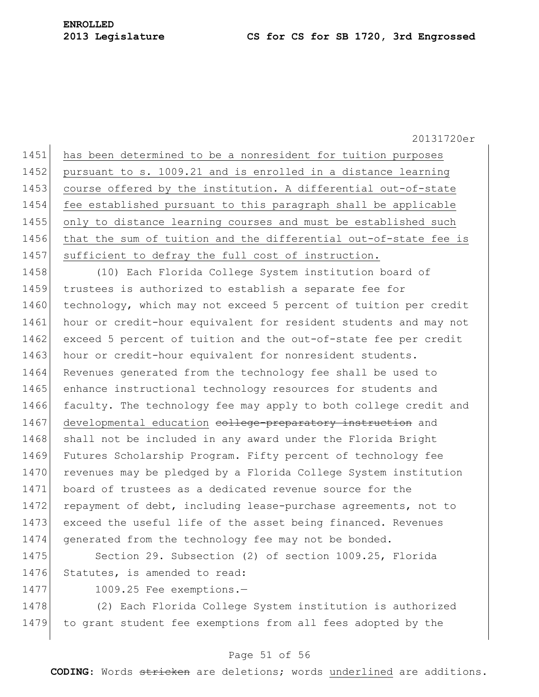1451 has been determined to be a nonresident for tuition purposes 1452 pursuant to s. 1009.21 and is enrolled in a distance learning 1453 course offered by the institution. A differential out-of-state 1454 fee established pursuant to this paragraph shall be applicable 1455 only to distance learning courses and must be established such 1456 that the sum of tuition and the differential out-of-state fee is 1457 sufficient to defray the full cost of instruction.

1458 (10) Each Florida College System institution board of 1459 trustees is authorized to establish a separate fee for 1460 technology, which may not exceed 5 percent of tuition per credit 1461 hour or credit-hour equivalent for resident students and may not 1462 exceed 5 percent of tuition and the out-of-state fee per credit 1463 hour or credit-hour equivalent for nonresident students. 1464 Revenues generated from the technology fee shall be used to 1465 enhance instructional technology resources for students and 1466 faculty. The technology fee may apply to both college credit and 1467 developmental education college-preparatory instruction and 1468 shall not be included in any award under the Florida Bright 1469 Futures Scholarship Program. Fifty percent of technology fee 1470 revenues may be pledged by a Florida College System institution 1471 board of trustees as a dedicated revenue source for the 1472 repayment of debt, including lease-purchase agreements, not to 1473 exceed the useful life of the asset being financed. Revenues 1474 generated from the technology fee may not be bonded.

1475 Section 29. Subsection (2) of section 1009.25, Florida 1476 Statutes, is amended to read:

1477 1009.25 Fee exemptions.-

1478 (2) Each Florida College System institution is authorized 1479 to grant student fee exemptions from all fees adopted by the

## Page 51 of 56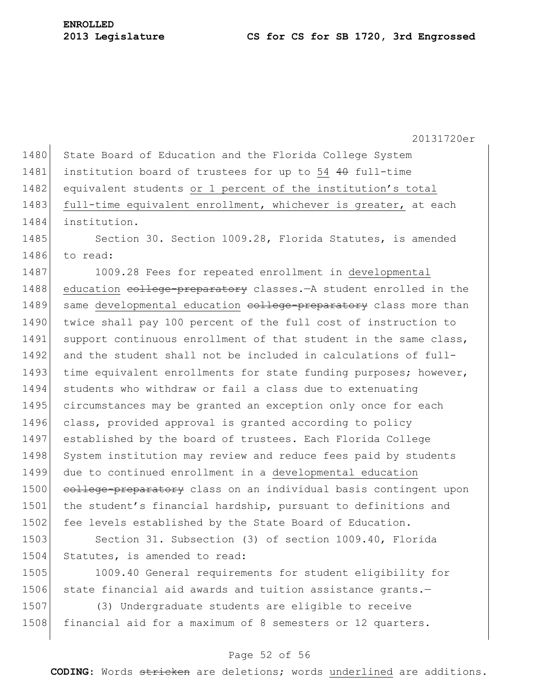20131720er 1480 State Board of Education and the Florida College System 1481 institution board of trustees for up to 54 40 full-time 1482 equivalent students or 1 percent of the institution's total 1483 full-time equivalent enrollment, whichever is greater, at each 1484 institution. 1485 Section 30. Section 1009.28, Florida Statutes, is amended 1486 to read: 1487 1009.28 Fees for repeated enrollment in developmental 1488 education college-preparatory classes. - A student enrolled in the 1489 same developmental education college-preparatory class more than 1490 twice shall pay 100 percent of the full cost of instruction to 1491 support continuous enrollment of that student in the same class, 1492 and the student shall not be included in calculations of full-1493 time equivalent enrollments for state funding purposes; however, 1494 students who withdraw or fail a class due to extenuating 1495 circumstances may be granted an exception only once for each 1496 class, provided approval is granted according to policy 1497 established by the board of trustees. Each Florida College 1498 System institution may review and reduce fees paid by students 1499 due to continued enrollment in a developmental education 1500 college-preparatory class on an individual basis contingent upon 1501 the student's financial hardship, pursuant to definitions and 1502 fee levels established by the State Board of Education. 1503 Section 31. Subsection (3) of section 1009.40, Florida 1504 Statutes, is amended to read: 1505 1009.40 General requirements for student eligibility for

1506 state financial aid awards and tuition assistance grants.-1507 (3) Undergraduate students are eligible to receive

1508 financial aid for a maximum of 8 semesters or 12 quarters.

## Page 52 of 56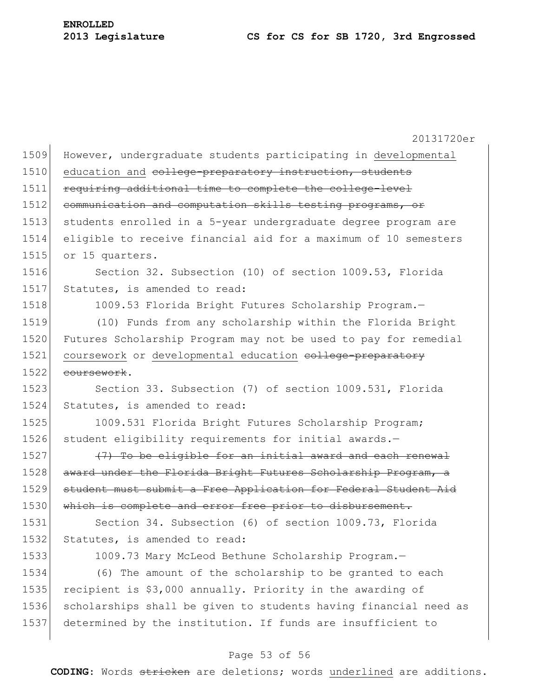| 1509 | However, undergraduate students participating in developmental   |
|------|------------------------------------------------------------------|
| 1510 | education and college-preparatory instruction, students          |
| 1511 | requiring additional time to complete the college-level          |
| 1512 | communication and computation skills testing programs, or        |
| 1513 | students enrolled in a 5-year undergraduate degree program are   |
| 1514 | eligible to receive financial aid for a maximum of 10 semesters  |
| 1515 | or 15 quarters.                                                  |
| 1516 | Section 32. Subsection (10) of section 1009.53, Florida          |
| 1517 | Statutes, is amended to read:                                    |
| 1518 | 1009.53 Florida Bright Futures Scholarship Program.-             |
| 1519 | (10) Funds from any scholarship within the Florida Bright        |
| 1520 | Futures Scholarship Program may not be used to pay for remedial  |
| 1521 | coursework or developmental education college-preparatory        |
| 1522 | coursework.                                                      |
| 1523 | Section 33. Subsection (7) of section 1009.531, Florida          |
| 1524 | Statutes, is amended to read:                                    |
| 1525 | 1009.531 Florida Bright Futures Scholarship Program;             |
| 1526 | student eligibility requirements for initial awards.-            |
| 1527 | (7) To be eligible for an initial award and each renewal         |
| 1528 | award under the Florida Bright Futures Scholarship Program, a    |
| 1529 | student must submit a Free Application for Federal Student Aid   |
| 1530 | which is complete and error free prior to disbursement.          |
| 1531 | Section 34. Subsection (6) of section 1009.73, Florida           |
| 1532 | Statutes, is amended to read:                                    |
| 1533 | 1009.73 Mary McLeod Bethune Scholarship Program.-                |
| 1534 | (6) The amount of the scholarship to be granted to each          |
| 1535 | recipient is \$3,000 annually. Priority in the awarding of       |
| 1536 | scholarships shall be given to students having financial need as |
| 1537 | determined by the institution. If funds are insufficient to      |

## Page 53 of 56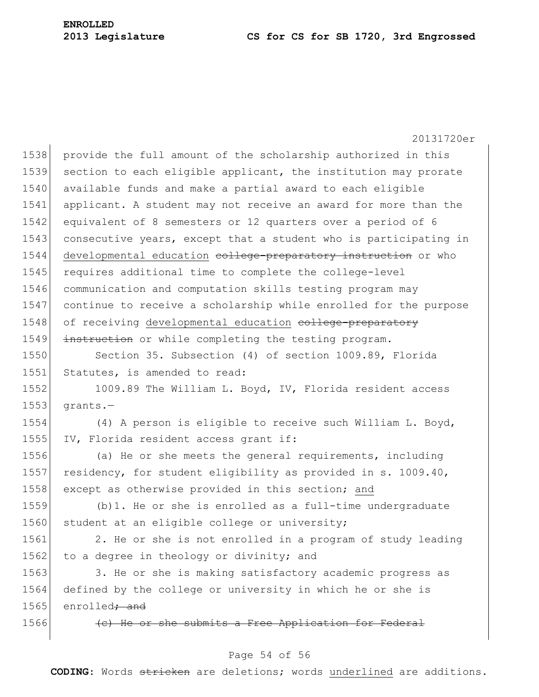20131720er 1538 provide the full amount of the scholarship authorized in this 1539 section to each eligible applicant, the institution may prorate 1540 available funds and make a partial award to each eligible 1541 applicant. A student may not receive an award for more than the 1542 equivalent of 8 semesters or 12 quarters over a period of 6 1543 consecutive years, except that a student who is participating in 1544 developmental education college-preparatory instruction or who 1545 requires additional time to complete the college-level 1546 communication and computation skills testing program may 1547 continue to receive a scholarship while enrolled for the purpose 1548 of receiving developmental education college-preparatory 1549 instruction or while completing the testing program. 1550 Section 35. Subsection (4) of section 1009.89, Florida 1551 Statutes, is amended to read: 1552 1009.89 The William L. Boyd, IV, Florida resident access  $1553$  grants.  $-$ 1554 (4) A person is eligible to receive such William L. Boyd, 1555 IV, Florida resident access grant if: 1556 (a) He or she meets the general requirements, including 1557 residency, for student eligibility as provided in s. 1009.40, 1558 except as otherwise provided in this section; and 1559 (b)1. He or she is enrolled as a full-time undergraduate 1560 student at an eligible college or university; 1561 2. He or she is not enrolled in a program of study leading 1562 to a degree in theology or divinity; and 1563 3. He or she is making satisfactory academic progress as 1564 defined by the college or university in which he or she is 1565 enrolled<del>; and</del> 1566 **(c)** He or she submits a Free Application for Federal

## Page 54 of 56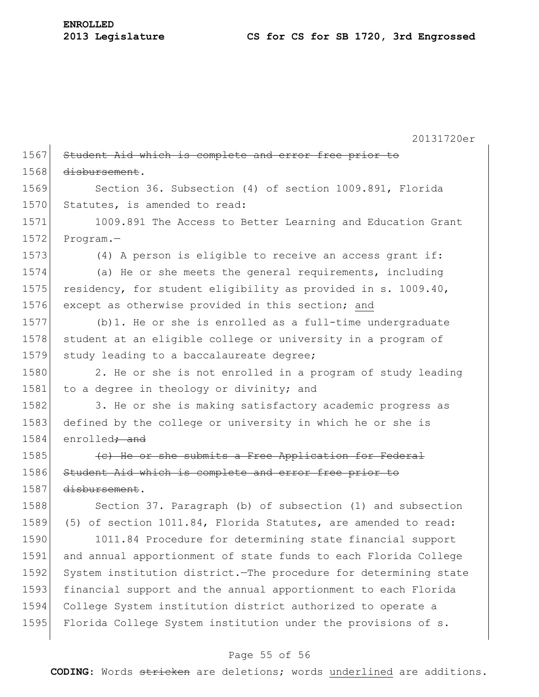**ENROLLED**

20131720er 1567 Student Aid which is complete and error free prior to 1568 disbursement. 1569 Section 36. Subsection (4) of section 1009.891, Florida 1570 Statutes, is amended to read: 1571 1009.891 The Access to Better Learning and Education Grant 1572 Program.-1573 (4) A person is eligible to receive an access grant if: 1574 (a) He or she meets the general requirements, including 1575 residency, for student eligibility as provided in s. 1009.40, 1576 except as otherwise provided in this section; and 1577 (b)1. He or she is enrolled as a full-time undergraduate 1578 student at an eligible college or university in a program of 1579 study leading to a baccalaureate degree; 1580 2. He or she is not enrolled in a program of study leading 1581 to a degree in theology or divinity; and 1582 3. He or she is making satisfactory academic progress as 1583 defined by the college or university in which he or she is 1584 enrolled<del>; and</del> 1585 **(c)** He or she submits a Free Application for Federal 1586 Student Aid which is complete and error free prior to 1587 disbursement. 1588 Section 37. Paragraph (b) of subsection (1) and subsection 1589 (5) of section 1011.84, Florida Statutes, are amended to read: 1590 1011.84 Procedure for determining state financial support 1591 and annual apportionment of state funds to each Florida College 1592 System institution district.—The procedure for determining state 1593 financial support and the annual apportionment to each Florida 1594 College System institution district authorized to operate a 1595 Florida College System institution under the provisions of s.

#### Page 55 of 56